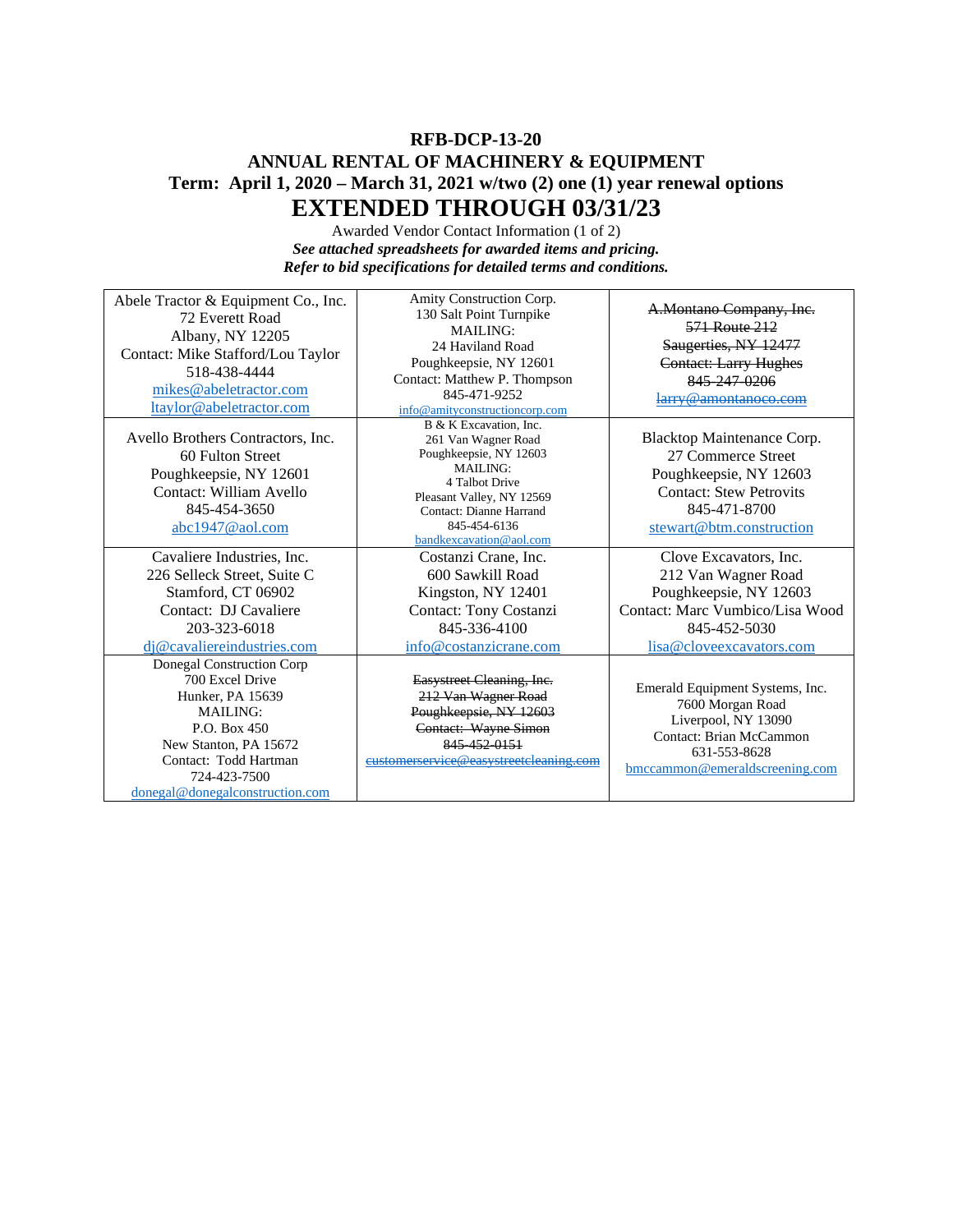## **RFB-DCP-13-20 ANNUAL RENTAL OF MACHINERY & EQUIPMENT Term: April 1, 2020 – March 31, 2021 w/two (2) one (1) year renewal options EXTENDED THROUGH 03/31/23**

Awarded Vendor Contact Information (1 of 2) *See attached spreadsheets for awarded items and pricing. Refer to bid specifications for detailed terms and conditions.*

| Abele Tractor & Equipment Co., Inc.<br>72 Everett Road<br>Albany, NY 12205<br>Contact: Mike Stafford/Lou Taylor<br>518-438-4444<br>mikes@abeletractor.com<br>ltaylor@abeletractor.com                    | Amity Construction Corp.<br>130 Salt Point Turnpike<br><b>MAILING:</b><br>24 Haviland Road<br>Poughkeepsie, NY 12601<br>Contact: Matthew P. Thompson<br>845-471-9252<br>info@amityconstructioncorp.com          | A.Montano Company, Inc.<br>571 Route 212<br>Saugerties, NY 12477<br><b>Contact: Larry Hughes</b><br>845 247 0206<br>larry@amontanoco.com                 |
|----------------------------------------------------------------------------------------------------------------------------------------------------------------------------------------------------------|-----------------------------------------------------------------------------------------------------------------------------------------------------------------------------------------------------------------|----------------------------------------------------------------------------------------------------------------------------------------------------------|
| Avello Brothers Contractors, Inc.<br>60 Fulton Street<br>Poughkeepsie, NY 12601<br>Contact: William Avello<br>845-454-3650<br>abc1947@aol.com                                                            | B & K Excavation, Inc.<br>261 Van Wagner Road<br>Poughkeepsie, NY 12603<br><b>MAILING:</b><br>4 Talbot Drive<br>Pleasant Valley, NY 12569<br>Contact: Dianne Harrand<br>845-454-6136<br>bandkexcavation@aol.com | Blacktop Maintenance Corp.<br>27 Commerce Street<br>Poughkeepsie, NY 12603<br><b>Contact: Stew Petrovits</b><br>845-471-8700<br>stewart@btm.construction |
| Cavaliere Industries, Inc.<br>226 Selleck Street, Suite C<br>Stamford, CT 06902<br>Contact: DJ Cavaliere<br>203-323-6018<br>di@cavaliereindustries.com                                                   | Costanzi Crane, Inc.<br>600 Sawkill Road<br>Kingston, NY 12401<br>Contact: Tony Costanzi<br>845-336-4100<br>info@costanzicrane.com                                                                              | Clove Excavators, Inc.<br>212 Van Wagner Road<br>Poughkeepsie, NY 12603<br>Contact: Marc Vumbico/Lisa Wood<br>845-452-5030<br>lisa@cloveexcavators.com   |
| Donegal Construction Corp<br>700 Excel Drive<br>Hunker, PA 15639<br><b>MAILING:</b><br>P.O. Box 450<br>New Stanton, PA 15672<br>Contact: Todd Hartman<br>724-423-7500<br>donegal@donegalconstruction.com | Easystreet Cleaning, Inc.<br>212 Van Wagner Road<br>Poughkeepsie, NY 12603<br>Contact: Wayne Simon<br>845 452 0151<br>eustomerservice@easystreetcleaning.com                                                    | Emerald Equipment Systems, Inc.<br>7600 Morgan Road<br>Liverpool, NY 13090<br>Contact: Brian McCammon<br>631-553-8628<br>bmccammon@emeraldscreening.com  |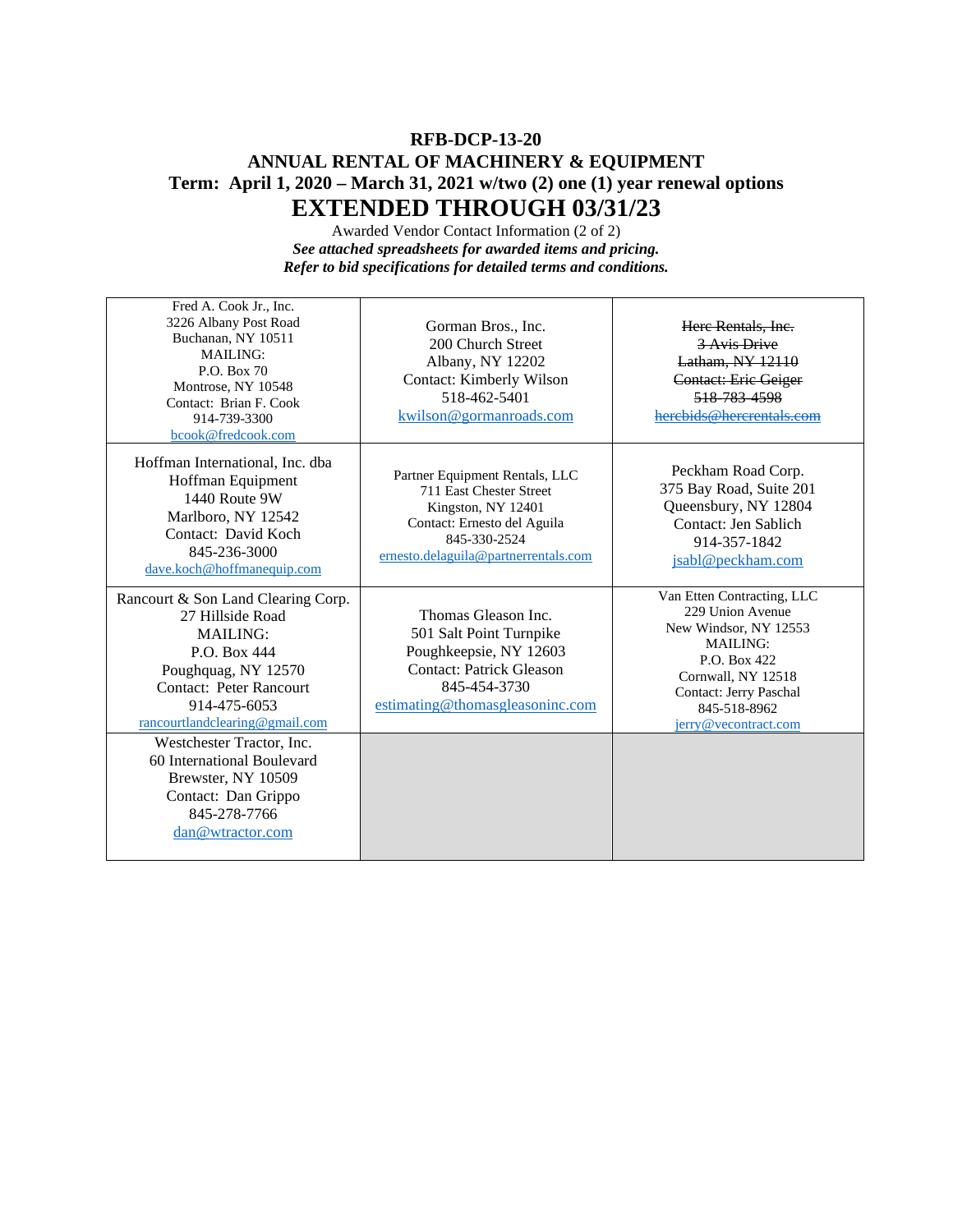## **RFB-DCP-13-20 ANNUAL RENTAL OF MACHINERY & EQUIPMENT Term: April 1, 2020 – March 31, 2021 w/two (2) one (1) year renewal options EXTENDED THROUGH 03/31/23**

Awarded Vendor Contact Information (2 of 2) *See attached spreadsheets for awarded items and pricing. Refer to bid specifications for detailed terms and conditions.*

| Fred A. Cook Jr., Inc.<br>3226 Albany Post Road<br>Buchanan, NY 10511<br><b>MAILING:</b><br>P.O. Box 70<br>Montrose, NY 10548<br>Contact: Brian F. Cook<br>914-739-3300<br>bcook@fredcook.com        | Gorman Bros., Inc.<br>200 Church Street<br>Albany, NY 12202<br><b>Contact: Kimberly Wilson</b><br>518-462-5401<br>kwilson@gormanroads.com                              | Here Rentals, Inc.<br>3 Avis Drive<br>Latham, NY 12110<br>Contact: Eric Geiger<br>518 783 4598<br>herebids@hercrentals.com                                                                         |
|------------------------------------------------------------------------------------------------------------------------------------------------------------------------------------------------------|------------------------------------------------------------------------------------------------------------------------------------------------------------------------|----------------------------------------------------------------------------------------------------------------------------------------------------------------------------------------------------|
| Hoffman International, Inc. dba<br>Hoffman Equipment<br>1440 Route 9W<br>Marlboro, NY 12542<br>Contact: David Koch<br>845-236-3000<br>dave.koch@hoffmanequip.com                                     | Partner Equipment Rentals, LLC<br>711 East Chester Street<br>Kingston, NY 12401<br>Contact: Ernesto del Aguila<br>845-330-2524<br>ernesto.delaguila@partnerrentals.com | Peckham Road Corp.<br>375 Bay Road, Suite 201<br>Queensbury, NY 12804<br>Contact: Jen Sablich<br>914-357-1842<br>jsabl@peckham.com                                                                 |
| Rancourt & Son Land Clearing Corp.<br>27 Hillside Road<br><b>MAILING:</b><br>P.O. Box 444<br>Poughquag, NY 12570<br><b>Contact: Peter Rancourt</b><br>914-475-6053<br>rancourtlandclearing@gmail.com | Thomas Gleason Inc.<br>501 Salt Point Turnpike<br>Poughkeepsie, NY 12603<br><b>Contact: Patrick Gleason</b><br>845-454-3730<br>estimating@thomasgleasoninc.com         | Van Etten Contracting, LLC<br>229 Union Avenue<br>New Windsor, NY 12553<br><b>MAILING:</b><br>P.O. Box 422<br>Cornwall, NY 12518<br>Contact: Jerry Paschal<br>845-518-8962<br>jerry@vecontract.com |
| Westchester Tractor, Inc.<br>60 International Boulevard<br>Brewster, NY 10509<br>Contact: Dan Grippo<br>845-278-7766<br>dan@wtractor.com                                                             |                                                                                                                                                                        |                                                                                                                                                                                                    |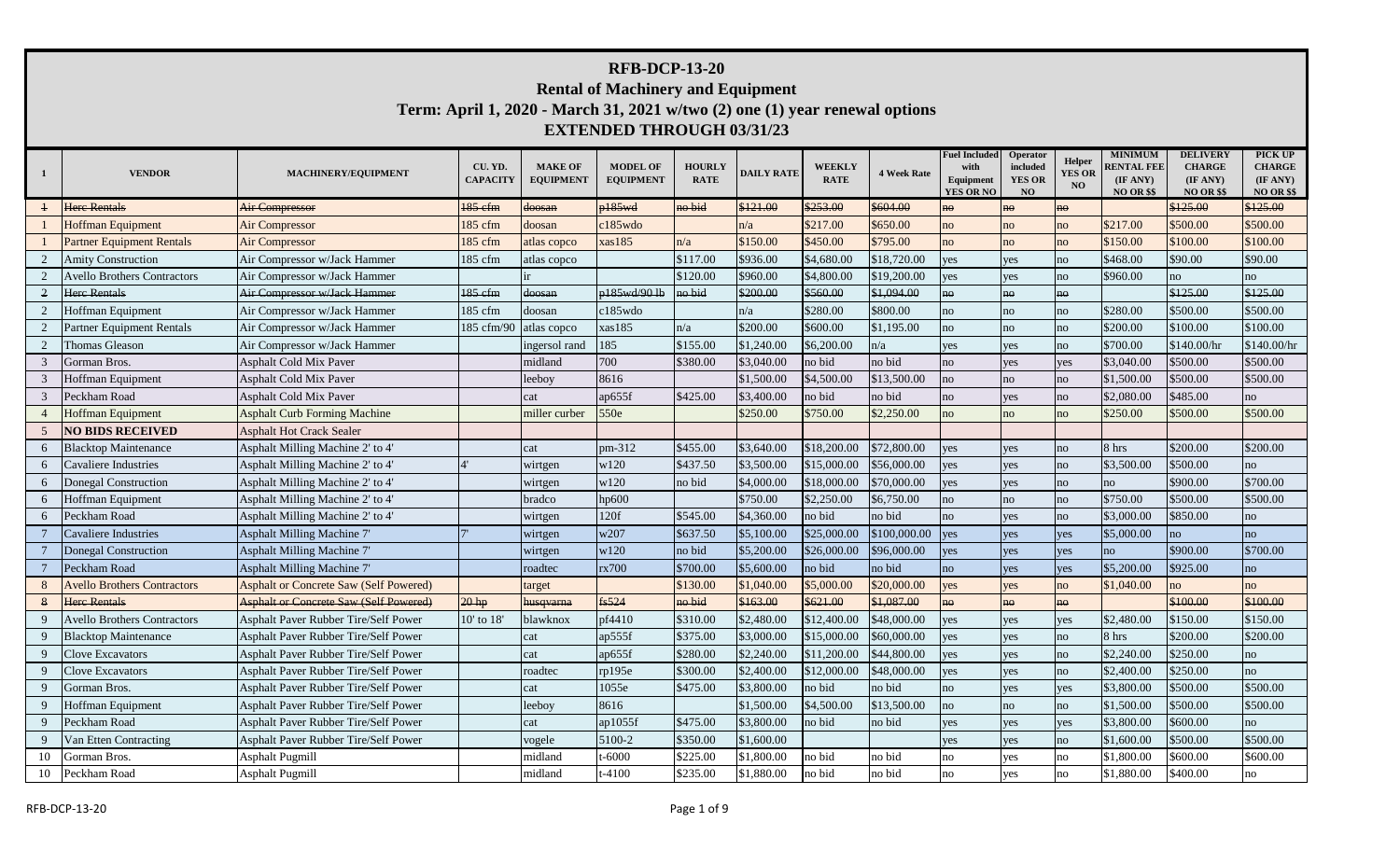## **RFB-DCP-13-20 Rental of Machinery and Equipment Term: April 1, 2020 - March 31, 2021 w/two (2) one (1) year renewal options**

## **EXTENDED THROUGH 03/31/23**

| -1 | <b>VENDOR</b>                      | MACHINERY/EQUIPMENT                           | CU. YD.<br><b>CAPACITY</b> | <b>MAKE OF</b><br><b>EQUIPMENT</b> | <b>MODEL OF</b><br><b>EQUIPMENT</b> | <b>HOURLY</b><br><b>RATE</b> | <b>DAILY RATE</b> | <b>WEEKLY</b><br><b>RATE</b> | <b>4 Week Rate</b> | <b>Fuel Included</b><br>with<br>Equipment<br><b>YES OR NO</b> | Operator<br>included<br><b>YES OR</b><br>NO | Helper<br><b>YES OR</b><br>NO | <b>MINIMUM</b><br><b>RENTAL FEE</b><br>(IF ANY)<br><b>NO OR \$\$</b> | <b>DELIVERY</b><br><b>CHARGE</b><br>(IF ANY)<br><b>NO OR \$\$</b> | PICK UP<br><b>CHARGE</b><br>(IF ANY)<br><b>NO OR \$\$</b> |
|----|------------------------------------|-----------------------------------------------|----------------------------|------------------------------------|-------------------------------------|------------------------------|-------------------|------------------------------|--------------------|---------------------------------------------------------------|---------------------------------------------|-------------------------------|----------------------------------------------------------------------|-------------------------------------------------------------------|-----------------------------------------------------------|
|    | <b>Here Rentals</b>                | <b>Air Compressor</b>                         | 185 efm                    | <del>doosan</del>                  | p185wd                              | no bid                       | \$121.00          | \$253.00                     | \$604.00           | no                                                            | no                                          | $n\Theta$                     |                                                                      | \$125.00                                                          | \$125.00                                                  |
|    | <b>Hoffman Equipment</b>           | Air Compressor                                | 185 cfm                    | doosan                             | $c185$ wdo                          |                              | n/a               | \$217.00                     | \$650.00           | no                                                            | no                                          | no                            | \$217.00                                                             | \$500.00                                                          | \$500.00                                                  |
|    | <b>Partner Equipment Rentals</b>   | <b>Air Compressor</b>                         | 185 cfm                    | atlas copco                        | xas185                              | n/a                          | \$150.00          | \$450.00                     | \$795.00           | no                                                            | no                                          | no                            | \$150.00                                                             | \$100.00                                                          | \$100.00                                                  |
|    | <b>Amity Construction</b>          | Air Compressor w/Jack Hammer                  | 185 cfm                    | atlas copco                        |                                     | \$117.00                     | \$936.00          | \$4,680.00                   | \$18,720.00        | yes                                                           | yes                                         | no                            | \$468.00                                                             | \$90.00                                                           | \$90.00                                                   |
|    | <b>Avello Brothers Contractors</b> | Air Compressor w/Jack Hammer                  |                            |                                    |                                     | \$120.00                     | \$960.00          | \$4,800.00                   | \$19,200.00        | yes                                                           | yes                                         | no                            | \$960.00                                                             | no                                                                | no                                                        |
|    | <b>Here Rentals</b>                | Air Compressor w/Jack Hammer                  | 185 efm                    | doosan                             | p185wd/90 lb                        | no bid                       | \$200.00          | \$560.00                     | \$1,094.00         | no                                                            | no                                          | no                            |                                                                      | \$125.00                                                          | \$125.00                                                  |
|    | Hoffman Equipment                  | Air Compressor w/Jack Hammer                  | 185 cfm                    | doosan                             | c185wdo                             |                              | n/a               | \$280.00                     | \$800.00           | no                                                            | no                                          | no                            | \$280.00                                                             | \$500.00                                                          | \$500.00                                                  |
|    | <b>Partner Equipment Rentals</b>   | Air Compressor w/Jack Hammer                  | 185 cfm/90                 | atlas copco                        | xas185                              | n/a                          | \$200.00          | \$600.00                     | \$1,195.00         | no                                                            | no                                          | no                            | \$200.00                                                             | \$100.00                                                          | \$100.00                                                  |
|    | Thomas Gleason                     | Air Compressor w/Jack Hammer                  |                            | ingersol rand                      | 185                                 | \$155.00                     | \$1,240.00        | \$6,200.00                   | n/a                | yes                                                           | yes                                         | no                            | \$700.00                                                             | \$140.00/hr                                                       | \$140.00/hr                                               |
|    | Gorman Bros.                       | <b>Asphalt Cold Mix Paver</b>                 |                            | midland                            | 700                                 | \$380.00                     | \$3,040.00        | no bid                       | no bid             | no                                                            | yes                                         | yes                           | \$3,040.00                                                           | \$500.00                                                          | \$500.00                                                  |
|    | Hoffman Equipment                  | <b>Asphalt Cold Mix Paver</b>                 |                            | leeboy                             | 8616                                |                              | \$1,500.00        | \$4,500.00                   | \$13,500.00        | no                                                            | no                                          | no                            | \$1,500.00                                                           | \$500.00                                                          | \$500.00                                                  |
|    | Peckham Road                       | <b>Asphalt Cold Mix Paver</b>                 |                            | cat                                | ap655f                              | \$425.00                     | \$3,400.00        | no bid                       | no bid             | no                                                            | yes                                         | no                            | \$2,080.00                                                           | \$485.00                                                          | no                                                        |
|    | <b>Hoffman Equipment</b>           | <b>Asphalt Curb Forming Machine</b>           |                            | miller curber                      | 550e                                |                              | \$250.00          | \$750.00                     | \$2,250.00         | no                                                            | no                                          | no                            | \$250.00                                                             | \$500.00                                                          | \$500.00                                                  |
|    | <b>NO BIDS RECEIVED</b>            | <b>Asphalt Hot Crack Sealer</b>               |                            |                                    |                                     |                              |                   |                              |                    |                                                               |                                             |                               |                                                                      |                                                                   |                                                           |
|    | <b>Blacktop Maintenance</b>        | Asphalt Milling Machine 2' to 4'              |                            | cat                                | pm-312                              | \$455.00                     | \$3,640.00        | \$18,200.00                  | \$72,800.00        | yes                                                           | yes                                         | no                            | 8 hrs                                                                | \$200.00                                                          | \$200.00                                                  |
|    | Cavaliere Industries               | Asphalt Milling Machine 2' to 4'              |                            | wirtgen                            | w120                                | \$437.50                     | \$3,500.00        | \$15,000.00                  | \$56,000.00        | es                                                            | yes                                         | no                            | \$3,500.00                                                           | \$500.00                                                          | no                                                        |
| 6  | Donegal Construction               | Asphalt Milling Machine 2' to 4'              |                            | wirtgen                            | w120                                | no bid                       | \$4,000.00        | \$18,000.00                  | \$70,000.00        | yes                                                           | yes                                         | no                            | no                                                                   | \$900.00                                                          | \$700.00                                                  |
| 6  | Hoffman Equipment                  | Asphalt Milling Machine 2' to 4'              |                            | bradco                             | hp600                               |                              | \$750.00          | \$2,250.00                   | \$6,750.00         | no                                                            | no                                          | no                            | \$750.00                                                             | \$500.00                                                          | \$500.00                                                  |
| 6  | Peckham Road                       | Asphalt Milling Machine 2' to 4'              |                            | wirtgen                            | 120f                                | \$545.00                     | \$4,360.00        | no bid                       | no bid             | no                                                            | yes                                         | no                            | \$3,000.00                                                           | \$850.00                                                          | no                                                        |
|    | Cavaliere Industries               | <b>Asphalt Milling Machine 7</b>              |                            | wirtgen                            | w207                                | \$637.50                     | \$5,100.00        | \$25,000.00                  | \$100,000.00       | yes                                                           | yes                                         | yes                           | \$5,000.00                                                           | no                                                                | no                                                        |
|    | Donegal Construction               | Asphalt Milling Machine 7'                    |                            | wirtgen                            | w120                                | no bid                       | \$5,200.00        | \$26,000.00                  | \$96,000.00        | yes                                                           | yes                                         | yes                           | no                                                                   | \$900.00                                                          | \$700.00                                                  |
|    | Peckham Road                       | Asphalt Milling Machine 7'                    |                            | roadtec                            | rx700                               | \$700.00                     | \$5,600.00        | no bid                       | no bid             | no                                                            | yes                                         | yes                           | \$5,200.00                                                           | \$925.00                                                          | no                                                        |
|    | <b>Avello Brothers Contractors</b> | <b>Asphalt or Concrete Saw (Self Powered)</b> |                            | target                             |                                     | \$130.00                     | \$1,040.00        | \$5,000.00                   | \$20,000.00        | yes                                                           | yes                                         | no                            | \$1,040.00                                                           | no                                                                | no                                                        |
|    | <b>Here Rentals</b>                | <b>Asphalt or Concrete Saw (Self Powered)</b> | 20 <sub>hp</sub>           | husqvarna                          | fs524                               | no bid                       | \$163.00          | \$621.00                     | \$1,087.00         | $n\Theta$                                                     | no                                          | no                            |                                                                      | \$100.00                                                          | \$100.00                                                  |
|    | <b>Avello Brothers Contractors</b> | Asphalt Paver Rubber Tire/Self Power          | 10' to 18'                 | blawknox                           | pf4410                              | \$310.00                     | \$2,480.00        | \$12,400.00                  | \$48,000.00        | yes                                                           | yes                                         | yes                           | \$2,480.00                                                           | \$150.00                                                          | \$150.00                                                  |
|    | <b>Blacktop Maintenance</b>        | <b>Asphalt Paver Rubber Tire/Self Power</b>   |                            | cat                                | ap555f                              | \$375.00                     | \$3,000.00        | \$15,000.00                  | \$60,000.00        | yes                                                           | yes                                         | no                            | 8 hrs                                                                | \$200.00                                                          | \$200.00                                                  |
|    | Clove Excavators                   | Asphalt Paver Rubber Tire/Self Power          |                            | cat                                | ap655f                              | \$280.00                     | \$2,240.00        | \$11,200.00                  | \$44,800.00        | yes                                                           | yes                                         | no                            | \$2,240.00                                                           | \$250.00                                                          | no                                                        |
|    | Clove Excavators                   | Asphalt Paver Rubber Tire/Self Power          |                            | roadtec                            | rp195e                              | \$300.00                     | \$2,400.00        | \$12,000.00                  | \$48,000.00        | ves                                                           | yes                                         | no                            | \$2,400.00                                                           | \$250.00                                                          | no                                                        |
|    | Gorman Bros.                       | Asphalt Paver Rubber Tire/Self Power          |                            | cat                                | 1055e                               | \$475.00                     | \$3,800.00        | no bid                       | no bid             | no                                                            | yes                                         | yes                           | \$3,800.00                                                           | \$500.00                                                          | \$500.00                                                  |
|    | Hoffman Equipment                  | <b>Asphalt Paver Rubber Tire/Self Power</b>   |                            | leeboy                             | 8616                                |                              | \$1,500.00        | \$4,500.00                   | \$13,500.00        | no                                                            | no                                          | no                            | \$1,500.00                                                           | \$500.00                                                          | \$500.00                                                  |
|    | Peckham Road                       | Asphalt Paver Rubber Tire/Self Power          |                            | cat                                | ap1055f                             | \$475.00                     | \$3,800.00        | no bid                       | no bid             | yes                                                           | yes                                         | yes                           | \$3,800.00                                                           | \$600.00                                                          | no                                                        |
|    | Van Etten Contracting              | Asphalt Paver Rubber Tire/Self Power          |                            | vogele                             | 5100-2                              | \$350.00                     | \$1,600.00        |                              |                    | yes                                                           | yes                                         | no                            | \$1,600.00                                                           | \$500.00                                                          | \$500.00                                                  |
| 10 | Gorman Bros.                       | <b>Asphalt Pugmill</b>                        |                            | midland                            | $-6000$                             | \$225.00                     | \$1,800.00        | no bid                       | no bid             | 1O                                                            | yes                                         | no                            | \$1,800.00                                                           | \$600.00                                                          | \$600.00                                                  |
| 10 | Peckham Road                       | <b>Asphalt Pugmill</b>                        |                            | midland                            | $-4100$                             | \$235.00                     | \$1,880.00        | no bid                       | no bid             | no                                                            | yes                                         | no                            | \$1,880.00                                                           | \$400.00                                                          | no                                                        |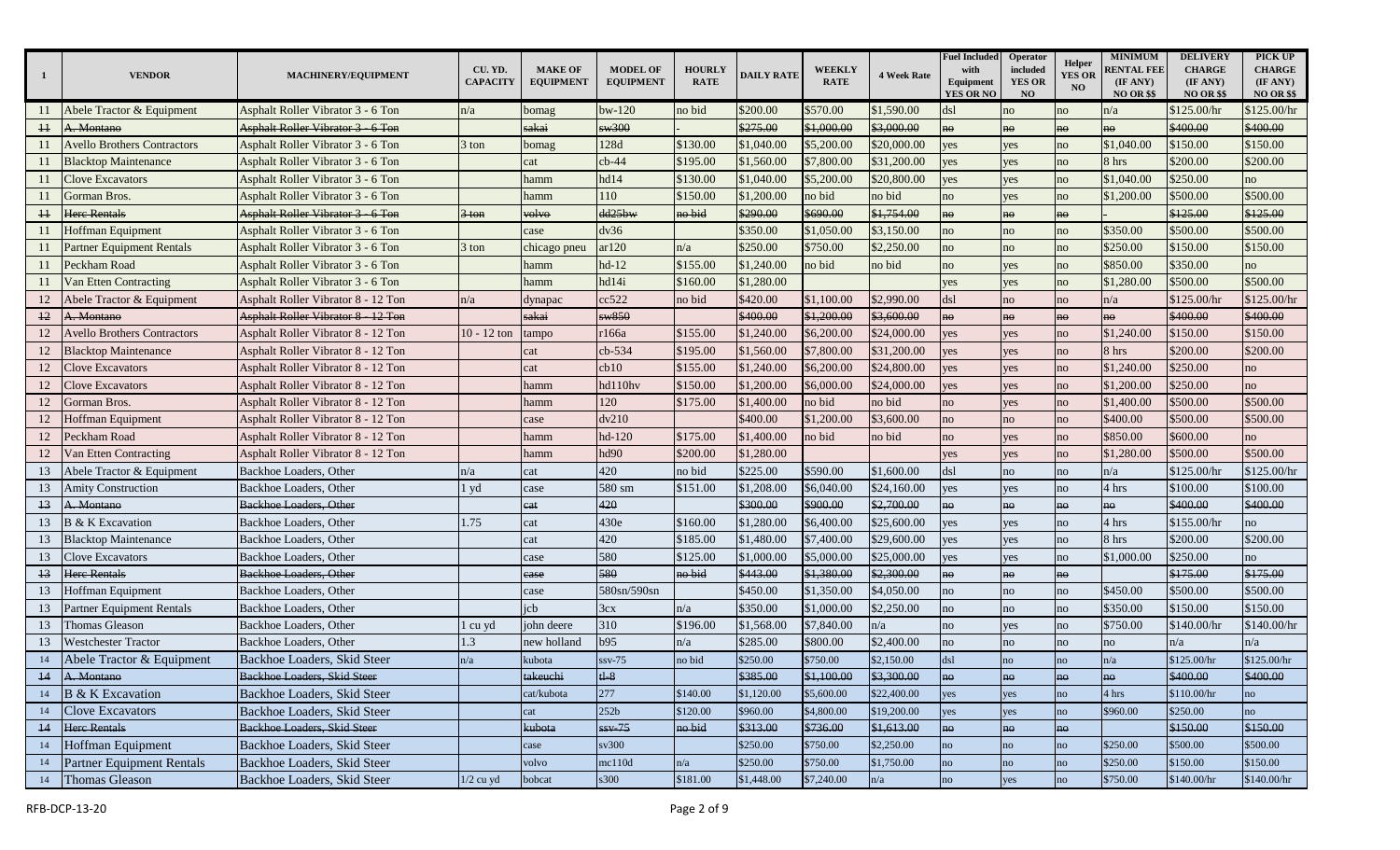| -1              | <b>VENDOR</b>                      | MACHINERY/EQUIPMENT                       | CU. YD.<br><b>CAPACITY</b> | <b>MAKE OF</b><br><b>EQUIPMENT</b> | <b>MODEL OF</b><br><b>EQUIPMENT</b> | <b>HOURLY</b><br><b>RATE</b> | <b>DAILY RATE</b> | <b>WEEKLY</b><br><b>RATE</b> | <b>4 Week Rate</b> | <b>Fuel Included</b><br>with<br>Equipment<br><b>YES OR NO</b> | Operator<br>included<br><b>YES OR</b><br><b>NO</b> | <b>Helper</b><br><b>YES OR</b><br>NO | <b>MINIMUM</b><br><b>RENTAL FEE</b><br>(IF ANY)<br><b>NO OR \$\$</b> | <b>DELIVERY</b><br><b>CHARGE</b><br>(IF ANY)<br><b>NO OR \$\$</b> | PICK UP<br><b>CHARGE</b><br>(IF ANY)<br><b>NO OR \$\$</b> |
|-----------------|------------------------------------|-------------------------------------------|----------------------------|------------------------------------|-------------------------------------|------------------------------|-------------------|------------------------------|--------------------|---------------------------------------------------------------|----------------------------------------------------|--------------------------------------|----------------------------------------------------------------------|-------------------------------------------------------------------|-----------------------------------------------------------|
|                 | Abele Tractor & Equipment          | Asphalt Roller Vibrator 3 - 6 Ton         | n/a                        | bomag                              | $bw-120$                            | no bid                       | \$200.00          | \$570.00                     | \$1,590.00         | ds1                                                           | no                                                 | no                                   | n/a                                                                  | \$125.00/hr                                                       | \$125.00/hr                                               |
| 11              | A. Montano                         | Asphalt Roller Vibrator 3 6 Ton           |                            | sakai                              | sw300                               |                              | \$275.00          | \$1,000.00                   | \$3,000.00         | no                                                            | no                                                 | no                                   | he                                                                   | \$400.00                                                          | \$400.00                                                  |
| 11              | <b>Avello Brothers Contractors</b> | Asphalt Roller Vibrator 3 - 6 Ton         | 3 ton                      | bomag                              | 128d                                | \$130.00                     | \$1,040.00        | \$5,200.00                   | \$20,000.00        | yes                                                           | yes                                                | no                                   | \$1,040.00                                                           | \$150.00                                                          | \$150.00                                                  |
| 11              | <b>Blacktop Maintenance</b>        | Asphalt Roller Vibrator 3 - 6 Ton         |                            | cat                                | $cb-44$                             | \$195.00                     | \$1,560.00        | \$7,800.00                   | \$31,200.00        | yes                                                           | yes                                                | no                                   | 8 hrs                                                                | \$200.00                                                          | \$200.00                                                  |
| 11              | <b>Clove Excavators</b>            | Asphalt Roller Vibrator 3 - 6 Ton         |                            | hamm                               | hd14                                | \$130.00                     | \$1,040.00        | \$5,200.00                   | \$20,800.00        | yes                                                           | yes                                                | no                                   | \$1,040.00                                                           | \$250.00                                                          | no                                                        |
| 11              | Gorman Bros.                       | <b>Asphalt Roller Vibrator 3 - 6 Ton</b>  |                            | hamm                               | 110                                 | \$150.00                     | \$1,200.00        | no bid                       | no bid             | no                                                            | yes                                                | no                                   | \$1,200.00                                                           | \$500.00                                                          | \$500.00                                                  |
| 11              | <b>Here Rentals</b>                | Asphalt Roller Vibrator 3 6 Ton           | $3$ ton                    | volvo                              | dd25bw                              | no bid                       | \$290.00          | \$690.00                     | \$1,754.00         | no                                                            | <b>no</b>                                          | $n\Theta$                            |                                                                      | \$125.00                                                          | \$125.00                                                  |
| 11              | <b>Hoffman Equipment</b>           | Asphalt Roller Vibrator 3 - 6 Ton         |                            | case                               | dv36                                |                              | \$350.00          | \$1,050.00                   | \$3,150.00         | no                                                            | no                                                 | no                                   | \$350.00                                                             | \$500.00                                                          | \$500.00                                                  |
| 11              | <b>Partner Equipment Rentals</b>   | <b>Asphalt Roller Vibrator 3 - 6 Ton</b>  | 3 ton                      | chicago pneu                       | ar120                               | n/a                          | \$250.00          | \$750.00                     | \$2,250.00         | no                                                            | no                                                 | no                                   | \$250.00                                                             | \$150.00                                                          | \$150.00                                                  |
| 11              | Peckham Road                       | Asphalt Roller Vibrator 3 - 6 Ton         |                            | hamm                               | $hd-12$                             | \$155.00                     | \$1,240.00        | no bid                       | no bid             | no                                                            | yes                                                | no                                   | \$850.00                                                             | \$350.00                                                          | no                                                        |
| 11              | Van Etten Contracting              | Asphalt Roller Vibrator 3 - 6 Ton         |                            | hamm                               | hd14i                               | \$160.00                     | \$1,280.00        |                              |                    | yes                                                           | yes                                                | no                                   | \$1,280.00                                                           | \$500.00                                                          | \$500.00                                                  |
| 12              | Abele Tractor & Equipment          | Asphalt Roller Vibrator 8 - 12 Ton        | n/a                        | dynapac                            | cc522                               | no bid                       | \$420.00          | \$1,100.00                   | \$2,990.00         | dsl                                                           | no                                                 | no                                   | n/a                                                                  | \$125.00/hr                                                       | \$125.00/hr                                               |
| $\frac{12}{2}$  | A. Montano                         | <b>Asphalt Roller Vibrator 8 - 12 Ton</b> |                            | sakai                              | $\frac{$8850}{ }$                   |                              | \$400.00          | \$1,200.00                   | \$3,600.00         | no                                                            | no                                                 | no                                   | no                                                                   | \$400.00                                                          | \$400.00                                                  |
| 12              | <b>Avello Brothers Contractors</b> | Asphalt Roller Vibrator 8 - 12 Ton        | $10 - 12$ ton              | ampo                               | r166a                               | \$155.00                     | \$1,240.00        | \$6,200.00                   | \$24,000.00        | yes                                                           | yes                                                | no                                   | \$1,240.00                                                           | \$150.00                                                          | \$150.00                                                  |
| 12              | <b>Blacktop Maintenance</b>        | Asphalt Roller Vibrator 8 - 12 Ton        |                            | cat                                | cb-534                              | \$195.00                     | \$1,560.00        | \$7,800.00                   | \$31,200.00        | es                                                            | yes                                                | no                                   | 8 hrs                                                                | \$200.00                                                          | \$200.00                                                  |
| 12              | <b>Clove Excavators</b>            | Asphalt Roller Vibrator 8 - 12 Ton        |                            | cat                                | cb10                                | \$155.00                     | \$1,240.00        | \$6,200.00                   | \$24,800.00        | yes                                                           | yes                                                | no                                   | \$1,240.00                                                           | \$250.00                                                          | no                                                        |
| 12              | <b>Clove Excavators</b>            | Asphalt Roller Vibrator 8 - 12 Ton        |                            | hamm                               | hd110hv                             | \$150.00                     | \$1,200.00        | \$6,000.00                   | \$24,000.00        | yes                                                           | yes                                                | no                                   | \$1,200.00                                                           | \$250.00                                                          | no                                                        |
| 12              | Gorman Bros.                       | Asphalt Roller Vibrator 8 - 12 Ton        |                            | hamm                               | 120                                 | \$175.00                     | \$1,400.00        | no bid                       | no bid             | no                                                            | yes                                                | no                                   | \$1,400.00                                                           | \$500.00                                                          | \$500.00                                                  |
| 12              | <b>Hoffman Equipment</b>           | Asphalt Roller Vibrator 8 - 12 Ton        |                            | case                               | dv210                               |                              | \$400.00          | \$1,200.00                   | \$3,600.00         | no                                                            | no                                                 | no                                   | \$400.00                                                             | \$500.00                                                          | \$500.00                                                  |
| 12              | Peckham Road                       | Asphalt Roller Vibrator 8 - 12 Ton        |                            | hamm                               | hd-120                              | \$175.00                     | \$1,400.00        | no bid                       | no bid             | no                                                            | yes                                                | no                                   | \$850.00                                                             | \$600.00                                                          | no                                                        |
| 12              | Van Etten Contracting              | Asphalt Roller Vibrator 8 - 12 Ton        |                            | hamm                               | hd90                                | \$200.00                     | \$1,280.00        |                              |                    | yes                                                           | yes                                                | no                                   | \$1,280.00                                                           | \$500.00                                                          | \$500.00                                                  |
| 13              | Abele Tractor & Equipment          | Backhoe Loaders, Other                    | n/a                        | cat                                | 420                                 | no bid                       | \$225.00          | \$590.00                     | \$1,600.00         | dsl                                                           | no                                                 | no                                   | n/a                                                                  | \$125.00/hr                                                       | \$125.00/hr                                               |
| 13              | <b>Amity Construction</b>          | Backhoe Loaders, Other                    | $1 \text{ yd}$             | case                               | 580 sm                              | \$151.00                     | \$1,208.00        | \$6,040.00                   | \$24,160.00        | yes                                                           | yes                                                | no                                   | 4 hrs                                                                | \$100.00                                                          | \$100.00                                                  |
| 13              | A. Montano                         | Backhoe Loaders, Other                    |                            | eat                                | 420                                 |                              | \$300.00          | \$900.00                     | \$2,700.00         | ho                                                            | <b>no</b>                                          | no                                   | ho                                                                   | \$400.00                                                          | \$400.00                                                  |
| 13              | <b>B</b> & K Excavation            | Backhoe Loaders, Other                    | 1.75                       | cat                                | 430e                                | \$160.00                     | \$1,280.00        | \$6,400.00                   | \$25,600.00        | yes                                                           | yes                                                | no                                   | 4 hrs                                                                | \$155.00/hr                                                       | no                                                        |
| 13              | <b>Blacktop Maintenance</b>        | Backhoe Loaders, Other                    |                            | cat                                | 420                                 | \$185.00                     | \$1,480.00        | \$7,400.00                   | \$29,600.00        | yes                                                           | yes                                                | no                                   | 8 hrs                                                                | \$200.00                                                          | \$200.00                                                  |
| 13              | <b>Clove Excavators</b>            | Backhoe Loaders, Other                    |                            | case                               | 580                                 | \$125.00                     | \$1,000.00        | \$5,000.00                   | \$25,000.00        | yes                                                           | yes                                                | no                                   | \$1,000.00                                                           | \$250.00                                                          | no                                                        |
| 13              | Here Rentals                       | Backhoe Loaders, Other                    |                            | ease                               | 580                                 | no bid                       | \$443.00          | \$1,380.00                   | \$2,300.00         | no                                                            | no                                                 | no                                   |                                                                      | \$175.00                                                          | \$175.00                                                  |
| 13              | Hoffman Equipment                  | Backhoe Loaders, Other                    |                            | case                               | 580sn/590sn                         |                              | \$450.00          | \$1,350.00                   | \$4,050.00         | no                                                            | no                                                 | no                                   | \$450.00                                                             | \$500.00                                                          | \$500.00                                                  |
| 13              | Partner Equipment Rentals          | Backhoe Loaders, Other                    |                            | icb                                | 3cx                                 | n/a                          | \$350.00          | \$1,000.00                   | \$2,250.00         | no                                                            | no                                                 | no                                   | \$350.00                                                             | \$150.00                                                          | \$150.00                                                  |
| 13              | Thomas Gleason                     | Backhoe Loaders, Other                    | l cu yd                    | john deere                         | 310                                 | \$196.00                     | \$1,568.00        | \$7,840.00                   | n/a                | no                                                            | yes                                                | no                                   | \$750.00                                                             | \$140.00/hr                                                       | \$140.00/hr                                               |
| 13              | Westchester Tractor                | Backhoe Loaders, Other                    | 1.3                        | new holland                        | b95                                 | n/a                          | \$285.00          | \$800.00                     | \$2,400.00         | no                                                            | no                                                 | no                                   | no                                                                   | n/a                                                               | n/a                                                       |
| 14              | Abele Tractor & Equipment          | Backhoe Loaders, Skid Steer               | n/a                        | kubota                             | $ssv-75$                            | no bid                       | \$250.00          | \$750.00                     | \$2,150.00         | dsl                                                           | no                                                 | no                                   | n/a                                                                  | \$125.00/hr                                                       | \$125.00/hr                                               |
| $\overline{14}$ | A. Montano                         | Backhoe Loaders, Skid Steer               |                            | takeuchi                           | $t\mathbf{l} - 8$                   |                              | \$385.00          | \$1,100.00                   | \$3,300.00         | no                                                            | no                                                 | no                                   | no                                                                   | \$400.00                                                          | \$400.00                                                  |
| 14              | B & K Excavation                   | Backhoe Loaders, Skid Steer               |                            | cat/kubota                         | 277                                 | \$140.00                     | \$1,120.00        | \$5,600.00                   | \$22,400.00        | yes                                                           | yes                                                | no                                   | 4 hrs                                                                | \$110.00/hr                                                       | no                                                        |
| 14              | <b>Clove Excavators</b>            | Backhoe Loaders, Skid Steer               |                            | cat                                | 252 <sub>b</sub>                    | \$120.00                     | \$960.00          | \$4,800.00                   | \$19,200.00        | yes                                                           | yes                                                | no                                   | \$960.00                                                             | \$250.00                                                          | no                                                        |
|                 | 14 Here Rentals                    | Backhoe Loaders, Skid Steer               |                            | kubota                             | $ssv-75$                            | no bid                       | \$313.00          | \$736.00                     | \$1,613.00         | no                                                            | no                                                 | no                                   |                                                                      | \$150.00                                                          | \$150.00                                                  |
| 14              | Hoffman Equipment                  | Backhoe Loaders, Skid Steer               |                            | case                               | sv300                               |                              | \$250.00          | \$750.00                     | \$2,250.00         | no                                                            | no                                                 | no                                   | \$250.00                                                             | \$500.00                                                          | \$500.00                                                  |
| 14              | Partner Equipment Rentals          | Backhoe Loaders, Skid Steer               |                            | volvo                              | mc110d                              | n/a                          | \$250.00          | \$750.00                     | \$1,750.00         | no                                                            | no                                                 | no                                   | \$250.00                                                             | \$150.00                                                          | \$150.00                                                  |
|                 | 14 Thomas Gleason                  | Backhoe Loaders, Skid Steer               | $1/2$ cu yd                | bobcat                             | s300                                | \$181.00                     | \$1,448.00        | \$7,240.00                   | n/a                | no                                                            | yes                                                | no                                   | \$750.00                                                             | \$140.00/hr                                                       | \$140.00/hr                                               |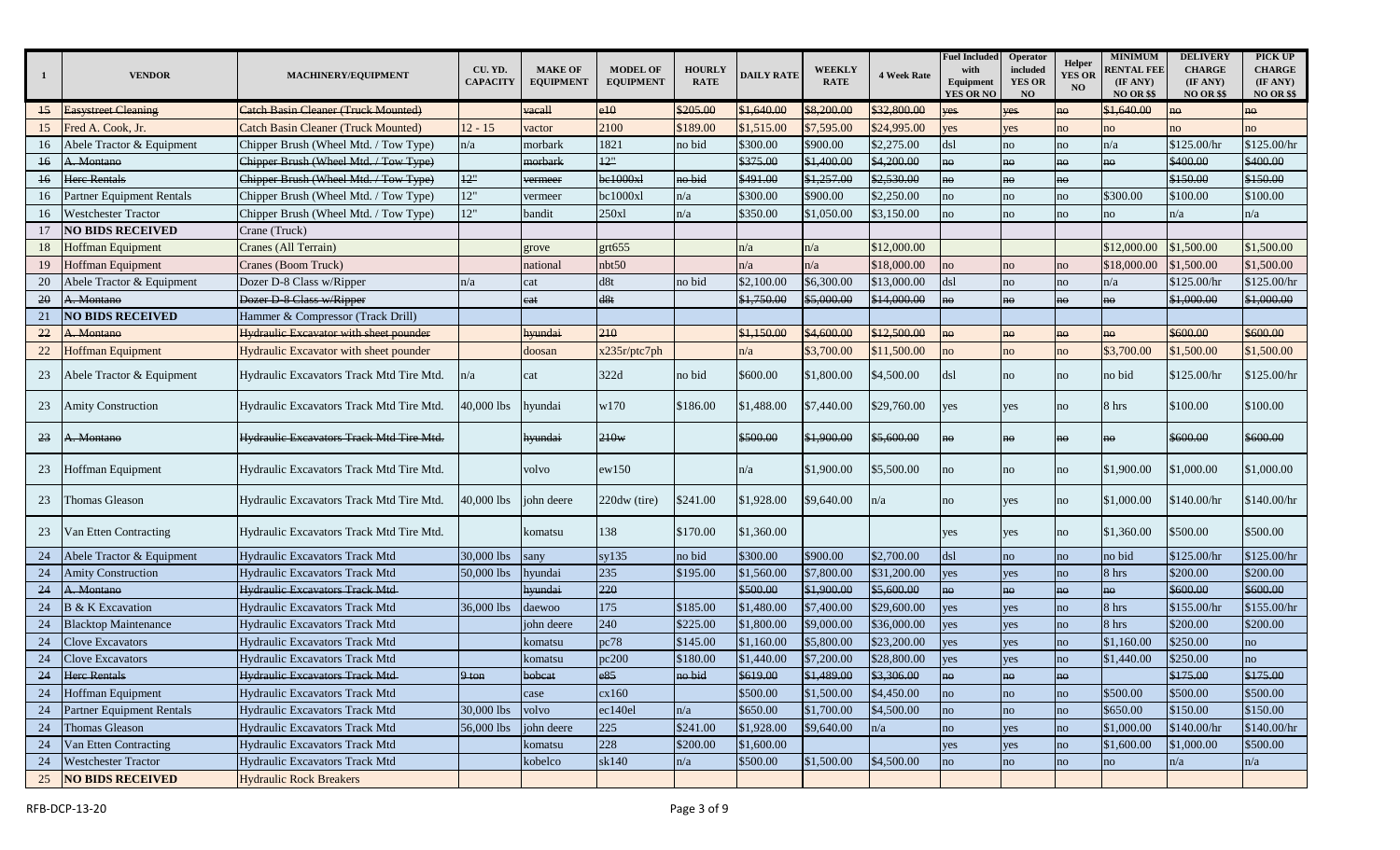| $\mathbf{1}$    | <b>VENDOR</b>               | MACHINERY/EQUIPMENT                           | CU. YD.<br><b>CAPACITY</b> | <b>MAKE OF</b><br><b>EQUIPMENT</b> | <b>MODEL OF</b><br><b>EQUIPMENT</b> | <b>HOURLY</b><br><b>RATE</b> | <b>DAILY RATE</b> | <b>WEEKLY</b><br><b>RATE</b> | <b>4 Week Rate</b> | <b>Fuel Included</b><br>with<br>Equipment<br><b>YES OR NO</b> | Operator<br>included<br><b>YES OR</b><br>NO | <b>Helper</b><br><b>YES OR</b><br><b>NO</b> | <b>MINIMUM</b><br><b>RENTAL FEE</b><br>(IF ANY)<br><b>NO OR \$\$</b> | <b>DELIVERY</b><br><b>CHARGE</b><br>(IF ANY)<br><b>NO OR \$\$</b> | PICK UP<br><b>CHARGE</b><br>(IF ANY)<br><b>NO OR \$\$</b> |
|-----------------|-----------------------------|-----------------------------------------------|----------------------------|------------------------------------|-------------------------------------|------------------------------|-------------------|------------------------------|--------------------|---------------------------------------------------------------|---------------------------------------------|---------------------------------------------|----------------------------------------------------------------------|-------------------------------------------------------------------|-----------------------------------------------------------|
| $\overline{15}$ | <b>Easystreet Cleaning</b>  | Catch Basin Cleaner (Truck Mounted)           |                            | vacall                             | e10                                 | \$205.00                     | \$1,640.00        | \$8,200.00                   | \$32,800.00        | es/                                                           | yes                                         | $n\Theta$                                   | \$1,640.00                                                           | $n\Theta$                                                         | no                                                        |
| 15              | Fred A. Cook, Jr.           | <b>Catch Basin Cleaner (Truck Mounted)</b>    | $12 - 15$                  | vactor                             | 2100                                | \$189.00                     | \$1,515.00        | \$7,595.00                   | \$24,995.00        | yes                                                           | yes                                         | no                                          | no                                                                   | no                                                                | no                                                        |
| 16              | Abele Tractor & Equipment   | Chipper Brush (Wheel Mtd. / Tow Type)         | n/a                        | morbark                            | 1821                                | no bid                       | \$300.00          | \$900.00                     | \$2,275.00         | dsl                                                           | no                                          | no                                          | n/a                                                                  | \$125.00/hr                                                       | \$125.00/hr                                               |
| $\overline{16}$ | A. Montano                  | Chipper Brush (Wheel Mtd. / Tow Type)         |                            | morbark                            | 12"                                 |                              | \$375.00          | \$1,400.00                   | \$4,200.00         | ho                                                            | <b>no</b>                                   | no                                          | no                                                                   | \$400.00                                                          | \$400.00                                                  |
| 16              | Here Rentals                | Chipper Brush (Wheel Mtd. / Tow Type)         | 12"                        | vermeer                            | be1000xl                            | no bid                       | \$491.00          | \$1,257.00                   | \$2,530.00         | ho                                                            | <b>no</b>                                   | no                                          |                                                                      | \$150.00                                                          | \$150.00                                                  |
| 16              | Partner Equipment Rentals   | Chipper Brush (Wheel Mtd. / Tow Type)         | 12"                        | vermeer                            | bc1000xl                            | n/a                          | \$300.00          | \$900.00                     | \$2,250.00         | no                                                            | no                                          | no                                          | \$300.00                                                             | \$100.00                                                          | \$100.00                                                  |
| 16              | <b>Westchester Tractor</b>  | Chipper Brush (Wheel Mtd. / Tow Type)         | 12"                        | bandit                             | 250xl                               | n/a                          | \$350.00          | \$1,050.00                   | \$3,150.00         | no                                                            | no                                          | no                                          | no                                                                   | n/a                                                               | n/a                                                       |
| 17              | <b>NO BIDS RECEIVED</b>     | Crane (Truck)                                 |                            |                                    |                                     |                              |                   |                              |                    |                                                               |                                             |                                             |                                                                      |                                                                   |                                                           |
| 18              | <b>Hoffman Equipment</b>    | Cranes (All Terrain)                          |                            | grove                              | $ext{655}$                          |                              | n/a               | n/a                          | \$12,000.00        |                                                               |                                             |                                             | \$12,000.00                                                          | \$1,500.00                                                        | \$1,500.00                                                |
| 19              | Hoffman Equipment           | Cranes (Boom Truck)                           |                            | national                           | nbt50                               |                              | n/a               | n/a                          | \$18,000.00        | no                                                            | no                                          | no                                          | \$18,000.00                                                          | \$1,500.00                                                        | \$1,500.00                                                |
| 20              | Abele Tractor & Equipment   | Dozer D-8 Class w/Ripper                      | n/a                        | cat                                | d8t                                 | no bid                       | \$2,100.00        | \$6,300.00                   | \$13,000.00        | dsl                                                           | no                                          | no                                          | n/a                                                                  | \$125.00/hr                                                       | \$125.00/hr                                               |
| 20              | A. Montano                  | Dozer D-8 Class w/Ripper                      |                            | eat                                | d8t                                 |                              | \$1,750.00        | \$5,000.00                   | \$14,000.00        | no.                                                           | no                                          | no                                          | no                                                                   | \$1,000.00                                                        | \$1,000.00                                                |
| 21              | <b>NO BIDS RECEIVED</b>     | Hammer & Compressor (Track Drill)             |                            |                                    |                                     |                              |                   |                              |                    |                                                               |                                             |                                             |                                                                      |                                                                   |                                                           |
| 22              | A. Montano                  | <b>Hydraulic Excavator with sheet pounder</b> |                            | <del>ıyundai</del>                 | 210                                 |                              | \$1,150.00        | \$4,600.00                   | \$12,500.00        | nΘ                                                            | nΘ                                          | nΘ                                          | no                                                                   | \$600.00                                                          | \$600.00                                                  |
| 22              | Hoffman Equipment           | Hydraulic Excavator with sheet pounder        |                            | doosan                             | x235r/ptc7ph                        |                              | n/a               | \$3,700.00                   | \$11,500.00        | no                                                            | no                                          | no                                          | \$3,700.00                                                           | \$1,500.00                                                        | \$1,500.00                                                |
| 23              | Abele Tractor & Equipment   | Hydraulic Excavators Track Mtd Tire Mtd.      | n/a                        | cat                                | 322d                                | no bid                       | \$600.00          | \$1,800.00                   | \$4,500.00         | dsl                                                           | no                                          | no                                          | no bid                                                               | \$125.00/hr                                                       | \$125.00/hr                                               |
| 23              | <b>Amity Construction</b>   | Hydraulic Excavators Track Mtd Tire Mtd.      | 40,000 lbs                 | hyundai                            | w170                                | \$186.00                     | \$1,488.00        | \$7,440.00                   | \$29,760.00        | yes                                                           | yes                                         | no                                          | 8 hrs                                                                | \$100.00                                                          | \$100.00                                                  |
| 23              | A. Montano                  | Hydraulic Excavators Track Mtd Tire Mtd.      |                            | <del>hyundai</del>                 | 210w                                |                              | \$500.00          | \$1,900.00                   | \$5,600.00         | no                                                            | nΘ                                          | no                                          |                                                                      | \$600.00                                                          | \$600.00                                                  |
| 23              | Hoffman Equipment           | Hydraulic Excavators Track Mtd Tire Mtd.      |                            | volvo                              | ew150                               |                              | n/a               | \$1,900.00                   | \$5,500.00         | no                                                            | no                                          | no                                          | \$1,900.00                                                           | \$1,000.00                                                        | \$1,000.00                                                |
| 23              | Thomas Gleason              | Hydraulic Excavators Track Mtd Tire Mtd.      | 10,000 lbs                 | ohn deere                          | 220dw (tire)                        | \$241.00                     | \$1,928.00        | \$9,640.00                   | n/a                | no                                                            | yes                                         | no                                          | \$1,000.00                                                           | \$140.00/hr                                                       | \$140.00/hr                                               |
| 23              | Van Etten Contracting       | Hydraulic Excavators Track Mtd Tire Mtd.      |                            | komatsu                            | 138                                 | \$170.00                     | \$1,360.00        |                              |                    | yes                                                           | yes                                         | no                                          | \$1,360.00                                                           | \$500.00                                                          | \$500.00                                                  |
| 24              | Abele Tractor & Equipment   | Hydraulic Excavators Track Mtd                | 30,000 lbs                 | sany                               | sy135                               | no bid                       | \$300.00          | \$900.00                     | \$2,700.00         | dsl                                                           | no                                          | no                                          | no bid                                                               | \$125.00/hr                                                       | \$125.00/hr                                               |
| 24              | <b>Amity Construction</b>   | Hydraulic Excavators Track Mtd                | 50,000 lbs                 | hyundai                            | 235                                 | \$195.00                     | \$1,560.00        | \$7,800.00                   | \$31,200.00        | yes                                                           | yes                                         | no                                          | 8 hrs                                                                | \$200.00                                                          | \$200.00                                                  |
| 24              | A. Montano                  | Hydraulic Excavators Track Mtd-               |                            | hyundai                            | 220                                 |                              | \$500.00          | \$1,900.00                   | \$5,600.00         | no                                                            | ho                                          | ho                                          | no                                                                   | \$600.00                                                          | \$600.00                                                  |
| 24              | <b>B</b> & K Excavation     | Hydraulic Excavators Track Mtd                | 36,000 lbs                 | daewoo                             | 175                                 | \$185.00                     | \$1,480.00        | \$7,400.00                   | \$29,600.00        | yes                                                           | yes                                         | no                                          | 8 hrs                                                                | \$155.00/hr                                                       | \$155.00/hr                                               |
| 24              | <b>Blacktop Maintenance</b> | Hydraulic Excavators Track Mtd                |                            | john deere                         | 240                                 | \$225.00                     | \$1,800.00        | \$9,000.00                   | \$36,000.00        | yes                                                           | <b>yes</b>                                  | no                                          | 8 hrs                                                                | \$200.00                                                          | \$200.00                                                  |
| 24              | <b>Clove Excavators</b>     | Hydraulic Excavators Track Mtd                |                            | comatsu                            | pc78                                | \$145.00                     | \$1,160.00        | \$5,800.00                   | \$23,200.00        | yes                                                           | yes                                         | no                                          | \$1,160.00                                                           | \$250.00                                                          | no                                                        |
| 24              | <b>Clove Excavators</b>     | <b>Hydraulic Excavators Track Mtd</b>         |                            | comatsu                            | oc200                               | \$180.00                     | \$1,440.00        | \$7,200.00                   | \$28,800.00        | es                                                            | ves                                         | no                                          | \$1,440.00                                                           | \$250.00                                                          | no                                                        |
| 24              | <b>Here Rentals</b>         | <b>Hydraulic Excavators Track Mtd-</b>        | $9 \text{ ton}$            | bobcat                             | e85                                 | no bid                       | \$619.00          | \$1,489.00                   | \$3,306.00         | no                                                            | no                                          | no                                          |                                                                      | \$175.00                                                          | \$175.00                                                  |
| 24              | Hoffman Equipment           | Hydraulic Excavators Track Mtd                |                            | case                               | cx160                               |                              | \$500.00          | \$1,500.00                   | \$4,450.00         | no                                                            | no                                          | no                                          | \$500.00                                                             | \$500.00                                                          | \$500.00                                                  |
| $24\,$          | Partner Equipment Rentals   | Hydraulic Excavators Track Mtd                | 30,000 lbs                 | volvo                              | ec140el                             | n/a                          | \$650.00          | \$1,700.00                   | \$4,500.00         | no                                                            | no                                          | no                                          | \$650.00                                                             | \$150.00                                                          | \$150.00                                                  |
| 24              | Thomas Gleason              | Hydraulic Excavators Track Mtd                | 56,000 lbs                 | john deere                         | 225                                 | \$241.00                     | \$1,928.00        | \$9,640.00                   | n/a                | no                                                            | yes                                         | no                                          | \$1,000.00                                                           | \$140.00/hr                                                       | \$140.00/hr                                               |
| 24              | Van Etten Contracting       | Hydraulic Excavators Track Mtd                |                            | komatsu                            | 228                                 | \$200.00                     | \$1,600.00        |                              |                    | yes                                                           | yes                                         | no                                          | \$1,600.00                                                           | \$1,000.00                                                        | \$500.00                                                  |
| 24              | <b>Westchester Tractor</b>  | Hydraulic Excavators Track Mtd                |                            | kobelco                            | sk140                               | n/a                          | \$500.00          | \$1,500.00                   | \$4,500.00         | no                                                            | no                                          | no                                          | no                                                                   | n/a                                                               | n/a                                                       |
| 25              | <b>NO BIDS RECEIVED</b>     | <b>Hydraulic Rock Breakers</b>                |                            |                                    |                                     |                              |                   |                              |                    |                                                               |                                             |                                             |                                                                      |                                                                   |                                                           |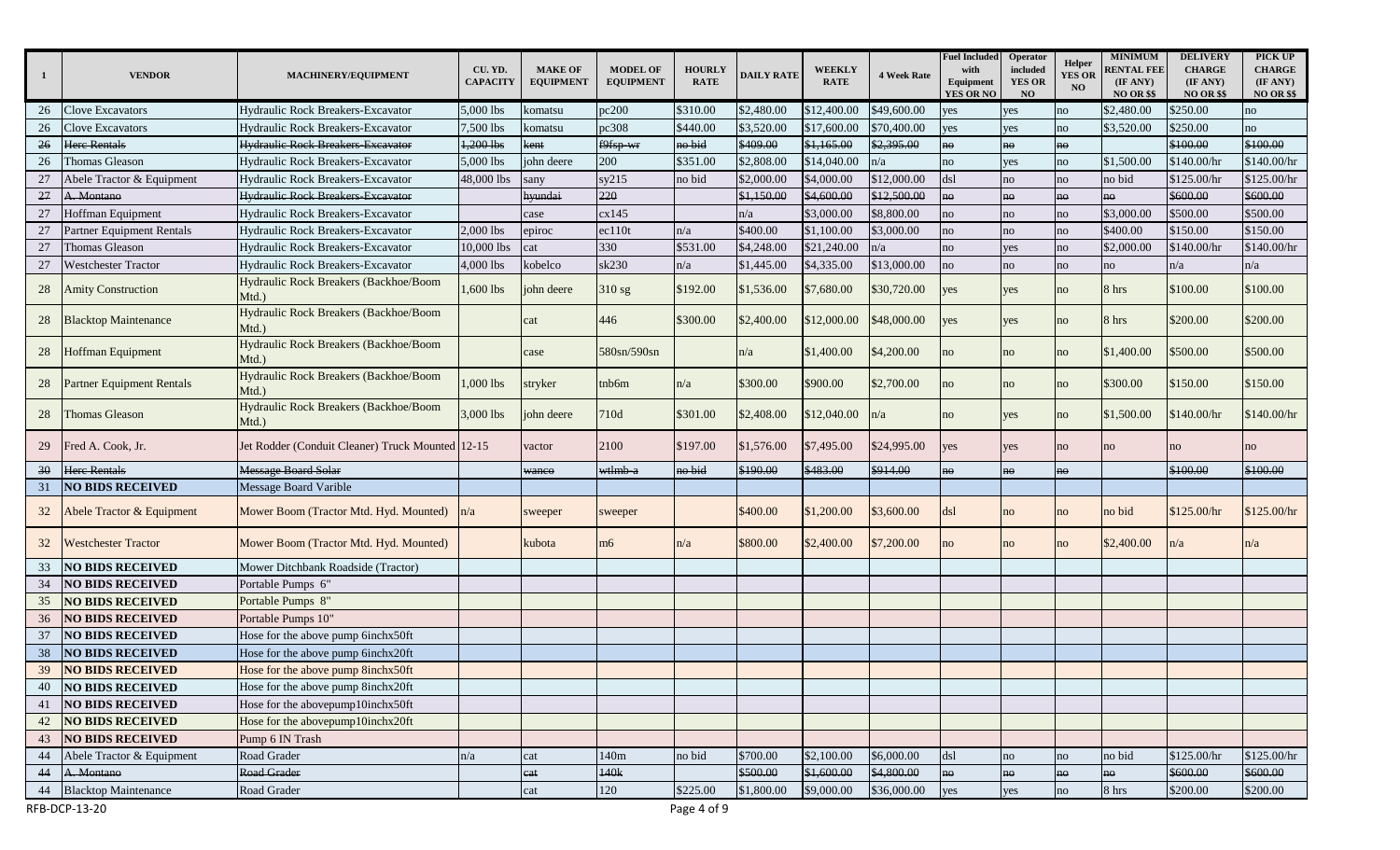| $\mathbf{1}$ | <b>VENDOR</b>                    | MACHINERY/EQUIPMENT                              | CU. YD.<br><b>CAPACITY</b> | <b>MAKE OF</b><br><b>EQUIPMENT</b> | <b>MODEL OF</b><br><b>EQUIPMENT</b> | <b>HOURLY</b><br><b>RATE</b> | <b>DAILY RATE</b> | <b>WEEKLY</b><br><b>RATE</b> | <b>4 Week Rate</b> | <b>Fuel Included</b><br>with<br>Equipment<br><b>YES OR NO</b> | Operator<br>included<br><b>YES OR</b><br><b>NO</b> | Helper<br><b>YES OR</b><br><b>NO</b> | <b>MINIMUM</b><br><b>RENTAL FEE</b><br>(IF ANY)<br><b>NO OR \$\$</b> | <b>DELIVERY</b><br><b>CHARGE</b><br>(IF ANY)<br><b>NO OR \$\$</b> | PICK UP<br><b>CHARGE</b><br>(IF ANY)<br><b>NO OR \$\$</b> |
|--------------|----------------------------------|--------------------------------------------------|----------------------------|------------------------------------|-------------------------------------|------------------------------|-------------------|------------------------------|--------------------|---------------------------------------------------------------|----------------------------------------------------|--------------------------------------|----------------------------------------------------------------------|-------------------------------------------------------------------|-----------------------------------------------------------|
| 26           | Clove Excavators                 | <b>Hydraulic Rock Breakers-Excavator</b>         | 5,000 lbs                  | komatsu                            | pc200                               | \$310.00                     | \$2,480.00        | \$12,400.00                  | \$49,600.00        | yes                                                           | yes                                                | no                                   | \$2,480.00                                                           | \$250.00                                                          | no                                                        |
| 26           | <b>Clove Excavators</b>          | <b>Hydraulic Rock Breakers-Excavator</b>         | 7,500 lbs                  | komatsu                            | pc308                               | \$440.00                     | \$3,520.00        | \$17,600.00                  | \$70,400.00        | yes                                                           | yes                                                | no                                   | \$3,520.00                                                           | \$250.00                                                          | no                                                        |
| 26           | Here Rentals                     | <b>Hydraulic Rock Breakers Excavator</b>         | $1,200$ lbs                | cent                               | f9fsp-wr                            | no bid                       | \$409.00          | \$1,165.00                   | \$2,395.00         | no                                                            | no                                                 | ho                                   |                                                                      | \$100.00                                                          | \$100.00                                                  |
| 26           | Thomas Gleason                   | Hydraulic Rock Breakers-Excavator                | 5,000 lbs                  | john deere                         | 200                                 | \$351.00                     | \$2,808.00        | \$14,040.00                  | n/a                | no                                                            | yes                                                | no                                   | \$1,500.00                                                           | \$140.00/hr                                                       | \$140.00/hr                                               |
| 27           | Abele Tractor & Equipment        | Hydraulic Rock Breakers-Excavator                | 48,000 lbs                 | sany                               | sy215                               | no bid                       | \$2,000.00        | \$4,000.00                   | \$12,000.00        | dsl                                                           | no                                                 | no                                   | no bid                                                               | \$125.00/hr                                                       | \$125.00/hr                                               |
| 27           | A. Montano                       | <b>Hydraulic Rock Breakers Excavator</b>         |                            | hyundai                            | 220                                 |                              | \$1,150.00        | \$4,600.00                   | \$12,500.00        | no                                                            | no                                                 | no                                   | no                                                                   | \$600.00                                                          | \$600.00                                                  |
| 27           | <b>Hoffman Equipment</b>         | Hydraulic Rock Breakers-Excavator                |                            | case                               | cx145                               |                              | n/a               | \$3,000.00                   | \$8,800.00         | no                                                            | no                                                 | no                                   | \$3,000.00                                                           | \$500.00                                                          | \$500.00                                                  |
| 27           | <b>Partner Equipment Rentals</b> | Hydraulic Rock Breakers-Excavator                | 2,000 lbs                  | epiroc                             | ec110t                              | n/a                          | \$400.00          | \$1,100.00                   | \$3,000.00         | no                                                            | no                                                 | no                                   | \$400.00                                                             | \$150.00                                                          | \$150.00                                                  |
| 27           | Thomas Gleason                   | <b>Hydraulic Rock Breakers-Excavator</b>         | 10,000 lbs                 | cat                                | 330                                 | \$531.00                     | \$4,248.00        | \$21,240.00                  | n/a                | no                                                            | yes                                                | no                                   | \$2,000.00                                                           | \$140.00/hr                                                       | \$140.00/hr                                               |
| 27           | <b>Westchester Tractor</b>       | Hydraulic Rock Breakers-Excavator                | 4,000 lbs                  | kobelco                            | sk230                               | n/a                          | \$1,445.00        | \$4,335.00                   | \$13,000.00        | no                                                            | no                                                 | no                                   | no                                                                   | n/a                                                               | n/a                                                       |
| 28           | <b>Amity Construction</b>        | Hydraulic Rock Breakers (Backhoe/Boom<br>Mtd.)   | 1,600 lbs                  | ohn deere                          | $310$ sg                            | \$192.00                     | \$1,536.00        | \$7,680.00                   | \$30,720.00        | yes                                                           | yes                                                | no                                   | 8 hrs                                                                | \$100.00                                                          | \$100.00                                                  |
| 28           | <b>Blacktop Maintenance</b>      | Hydraulic Rock Breakers (Backhoe/Boom<br>Mtd.)   |                            | cat                                | 446                                 | \$300.00                     | \$2,400.00        | \$12,000.00                  | \$48,000.00        | yes                                                           | yes                                                | no                                   | 8 hrs                                                                | \$200.00                                                          | \$200.00                                                  |
| 28           | <b>Hoffman Equipment</b>         | Hydraulic Rock Breakers (Backhoe/Boom<br>Mtd.)   |                            | case                               | 580sn/590sn                         |                              | n/a               | \$1,400.00                   | \$4,200.00         | no                                                            | no                                                 | no                                   | \$1,400.00                                                           | \$500.00                                                          | \$500.00                                                  |
| 28           | <b>Partner Equipment Rentals</b> | Hydraulic Rock Breakers (Backhoe/Boom<br>Mtd.)   | $1,000$ lbs                | stryker                            | tnb6m                               | n/a                          | \$300.00          | \$900.00                     | \$2,700.00         | no                                                            | no                                                 | no                                   | \$300.00                                                             | \$150.00                                                          | \$150.00                                                  |
| 28           | <b>Thomas Gleason</b>            | Hydraulic Rock Breakers (Backhoe/Boom<br>Mtd.)   | 3,000 lbs                  | ohn deere                          | 710d                                | \$301.00                     | \$2,408.00        | \$12,040.00                  | n/a                | no                                                            | yes                                                | no                                   | \$1,500.00                                                           | \$140.00/hr                                                       | \$140.00/hr                                               |
| 29           | Fred A. Cook, Jr.                | Jet Rodder (Conduit Cleaner) Truck Mounted 12-15 |                            | vactor                             | 2100                                | \$197.00                     | \$1,576.00        | \$7,495.00                   | \$24,995.00        | yes                                                           | yes                                                | no                                   | no                                                                   | no                                                                | no                                                        |
| 30           | <b>Here Rentals</b>              | <b>Message Board Solar</b>                       |                            | waneo                              | wtlmb-a                             | no bid                       | \$190.00          | \$483.00                     | \$914.00           | no                                                            | no                                                 | no                                   |                                                                      | \$100.00                                                          | \$100.00                                                  |
| 31           | <b>NO BIDS RECEIVED</b>          | Message Board Varible                            |                            |                                    |                                     |                              |                   |                              |                    |                                                               |                                                    |                                      |                                                                      |                                                                   |                                                           |
| 32           | Abele Tractor & Equipment        | Mower Boom (Tractor Mtd. Hyd. Mounted)           | n/a                        | sweeper                            | sweeper                             |                              | \$400.00          | \$1,200.00                   | \$3,600.00         | dsl                                                           | no                                                 | no                                   | no bid                                                               | \$125.00/hr                                                       | \$125.00/hr                                               |
| 32           | <b>Westchester Tractor</b>       | Mower Boom (Tractor Mtd. Hyd. Mounted)           |                            | kubota                             | m <sub>6</sub>                      | n/a                          | \$800.00          | \$2,400.00                   | \$7,200.00         | no                                                            | no                                                 | no                                   | \$2,400.00                                                           | n/a                                                               | n/a                                                       |
| 33           | <b>NO BIDS RECEIVED</b>          | Mower Ditchbank Roadside (Tractor)               |                            |                                    |                                     |                              |                   |                              |                    |                                                               |                                                    |                                      |                                                                      |                                                                   |                                                           |
| 34           | <b>NO BIDS RECEIVED</b>          | Portable Pumps 6"                                |                            |                                    |                                     |                              |                   |                              |                    |                                                               |                                                    |                                      |                                                                      |                                                                   |                                                           |
| 35           | <b>NO BIDS RECEIVED</b>          | Portable Pumps 8"                                |                            |                                    |                                     |                              |                   |                              |                    |                                                               |                                                    |                                      |                                                                      |                                                                   |                                                           |
| 36           | <b>NO BIDS RECEIVED</b>          | Portable Pumps 10"                               |                            |                                    |                                     |                              |                   |                              |                    |                                                               |                                                    |                                      |                                                                      |                                                                   |                                                           |
| 37           | <b>NO BIDS RECEIVED</b>          | Hose for the above pump 6inchx50ft               |                            |                                    |                                     |                              |                   |                              |                    |                                                               |                                                    |                                      |                                                                      |                                                                   |                                                           |
| 38           | <b>NO BIDS RECEIVED</b>          | Hose for the above pump 6inchx20ft               |                            |                                    |                                     |                              |                   |                              |                    |                                                               |                                                    |                                      |                                                                      |                                                                   |                                                           |
| 39           | <b>NO BIDS RECEIVED</b>          | Hose for the above pump 8inchx50ft               |                            |                                    |                                     |                              |                   |                              |                    |                                                               |                                                    |                                      |                                                                      |                                                                   |                                                           |
| 40           | <b>NO BIDS RECEIVED</b>          | Hose for the above pump 8inchx20ft               |                            |                                    |                                     |                              |                   |                              |                    |                                                               |                                                    |                                      |                                                                      |                                                                   |                                                           |
| 41           | <b>NO BIDS RECEIVED</b>          | Hose for the abovepump10inchx50ft                |                            |                                    |                                     |                              |                   |                              |                    |                                                               |                                                    |                                      |                                                                      |                                                                   |                                                           |
| 42           | <b>NO BIDS RECEIVED</b>          | Hose for the abovepump10inchx20ft                |                            |                                    |                                     |                              |                   |                              |                    |                                                               |                                                    |                                      |                                                                      |                                                                   |                                                           |
| 43           | <b>NO BIDS RECEIVED</b>          | Pump 6 IN Trash                                  |                            |                                    |                                     |                              |                   |                              |                    |                                                               |                                                    |                                      |                                                                      |                                                                   |                                                           |
| 44           | Abele Tractor & Equipment        | Road Grader                                      | n/a                        | cat                                | 140m                                | no bid                       | \$700.00          | \$2,100.00                   | \$6,000.00         | dsl                                                           | no                                                 | no                                   | no bid                                                               | \$125.00/hr                                                       | \$125.00/hr                                               |
| 44           | A. Montano                       | Road Grader                                      |                            | cat                                | 140k                                |                              | \$500.00          | \$1,600.00                   | \$4,800.00         | no                                                            | no                                                 | no                                   | no                                                                   | \$600.00                                                          | \$600.00                                                  |
| 44           | <b>Blacktop Maintenance</b>      | Road Grader                                      |                            | cat                                | 120                                 | \$225.00                     | \$1,800.00        | \$9,000.00                   | \$36,000.00        | yes                                                           | yes                                                | no                                   | 8 hrs                                                                | \$200.00                                                          | \$200.00                                                  |
|              | RFB-DCP-13-20                    |                                                  |                            |                                    |                                     | Page 4 of 9                  |                   |                              |                    |                                                               |                                                    |                                      |                                                                      |                                                                   |                                                           |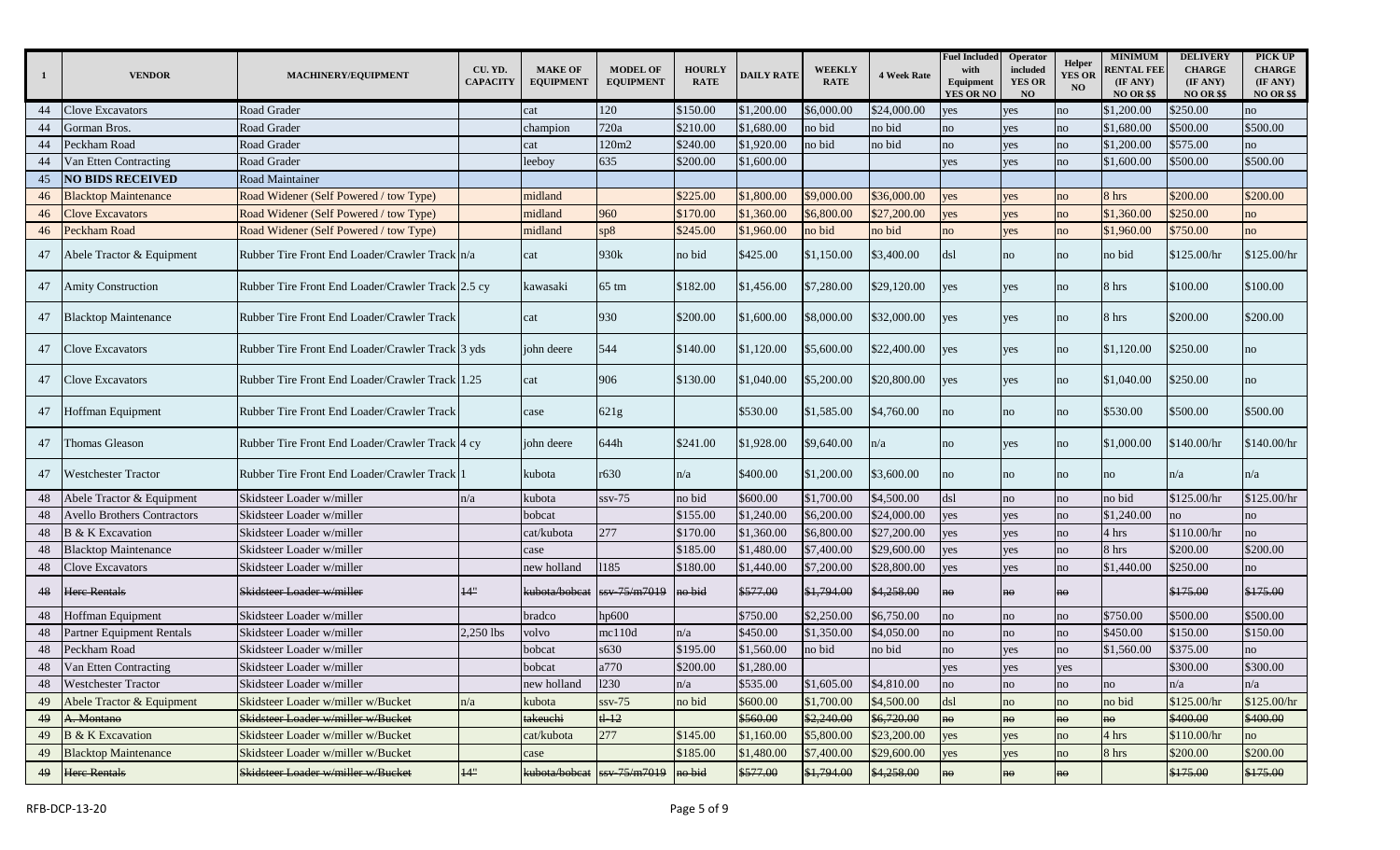| -1 | <b>VENDOR</b>                      | MACHINERY/EQUIPMENT                               | CU. YD.<br><b>CAPACITY</b> | <b>MAKE OF</b><br><b>EQUIPMENT</b> | <b>MODEL OF</b><br><b>EQUIPMENT</b> | <b>HOURLY</b><br><b>RATE</b> | <b>DAILY RATE</b> | <b>WEEKLY</b><br><b>RATE</b> | <b>4 Week Rate</b> | <b>Fuel Included</b><br>with<br>Equipment<br><b>YES OR NO</b> | Operator<br>included<br><b>YES OR</b><br>NO | Helper<br><b>YES OR</b><br><b>NO</b> | <b>MINIMUM</b><br><b>RENTAL FEE</b><br>(IF ANY)<br><b>NO OR \$\$</b> | <b>DELIVERY</b><br><b>CHARGE</b><br>(IF ANY)<br><b>NO OR \$\$</b> | PICK UP<br><b>CHARGE</b><br>(IF ANY)<br><b>NO OR \$\$</b> |
|----|------------------------------------|---------------------------------------------------|----------------------------|------------------------------------|-------------------------------------|------------------------------|-------------------|------------------------------|--------------------|---------------------------------------------------------------|---------------------------------------------|--------------------------------------|----------------------------------------------------------------------|-------------------------------------------------------------------|-----------------------------------------------------------|
| 44 | Clove Excavators                   | Road Grader                                       |                            | cat                                | 120                                 | \$150.00                     | \$1,200.00        | \$6,000.00                   | \$24,000.00        | yes                                                           | yes                                         | no                                   | \$1,200.00                                                           | \$250.00                                                          | no                                                        |
| 44 | Gorman Bros.                       | Road Grader                                       |                            | champion                           | 720a                                | \$210.00                     | \$1,680.00        | no bid                       | no bid             | no                                                            | yes                                         | no                                   | \$1,680.00                                                           | \$500.00                                                          | \$500.00                                                  |
| 44 | Peckham Road                       | Road Grader                                       |                            | cat                                | 120m2                               | \$240.00                     | \$1,920.00        | no bid                       | no bid             | no                                                            | yes                                         | no                                   | \$1,200.00                                                           | \$575.00                                                          | no                                                        |
| 44 | Van Etten Contracting              | Road Grader                                       |                            | leeboy                             | 635                                 | \$200.00                     | \$1,600.00        |                              |                    | yes                                                           | yes                                         | no                                   | \$1,600.00                                                           | \$500.00                                                          | \$500.00                                                  |
| 45 | <b>NO BIDS RECEIVED</b>            | Road Maintainer                                   |                            |                                    |                                     |                              |                   |                              |                    |                                                               |                                             |                                      |                                                                      |                                                                   |                                                           |
| 46 | <b>Blacktop Maintenance</b>        | Road Widener (Self Powered / tow Type)            |                            | midland                            |                                     | \$225.00                     | \$1,800.00        | \$9,000.00                   | \$36,000.00        | yes                                                           | yes                                         | no                                   | 8 hrs                                                                | \$200.00                                                          | \$200.00                                                  |
| 46 | <b>Clove Excavators</b>            | Road Widener (Self Powered / tow Type)            |                            | midland                            | 960                                 | \$170.00                     | \$1,360.00        | \$6,800.00                   | \$27,200.00        | yes                                                           | yes                                         | no                                   | \$1,360.00                                                           | \$250.00                                                          | no                                                        |
| 46 | Peckham Road                       | Road Widener (Self Powered / tow Type)            |                            | midland                            | sp8                                 | \$245.00                     | \$1,960.00        | no bid                       | no bid             | no                                                            | yes                                         | no                                   | \$1,960.00                                                           | \$750.00                                                          | no                                                        |
|    | Abele Tractor & Equipment          | Rubber Tire Front End Loader/Crawler Track n/a    |                            | cat                                | 930k                                | no bid                       | \$425.00          | \$1,150.00                   | \$3,400.00         | dsl                                                           | no                                          | no                                   | no bid                                                               | \$125.00/hr                                                       | \$125.00/hr                                               |
| 47 | <b>Amity Construction</b>          | Rubber Tire Front End Loader/Crawler Track 2.5 cy |                            | kawasaki                           | $65 \text{ } \text{tm}$             | \$182.00                     | \$1,456.00        | \$7,280.00                   | \$29,120.00        | yes                                                           | yes                                         | no                                   | 8 hrs                                                                | \$100.00                                                          | \$100.00                                                  |
| 47 | <b>Blacktop Maintenance</b>        | Rubber Tire Front End Loader/Crawler Track        |                            | cat                                | 930                                 | \$200.00                     | \$1,600.00        | \$8,000.00                   | \$32,000.00        | yes                                                           | yes                                         | no                                   | 8 hrs                                                                | \$200.00                                                          | \$200.00                                                  |
| 47 | <b>Clove Excavators</b>            | Rubber Tire Front End Loader/Crawler Track 3 yds  |                            | john deere                         | 544                                 | \$140.00                     | \$1,120.00        | \$5,600.00                   | \$22,400.00        | yes                                                           | yes                                         | no                                   | \$1,120.00                                                           | \$250.00                                                          | no                                                        |
| 47 | <b>Clove Excavators</b>            | Rubber Tire Front End Loader/Crawler Track 1.25   |                            | cat                                | 906                                 | \$130.00                     | \$1,040.00        | \$5,200.00                   | \$20,800.00        | yes                                                           | yes                                         | no                                   | \$1,040.00                                                           | \$250.00                                                          | no                                                        |
|    | 47 Hoffman Equipment               | Rubber Tire Front End Loader/Crawler Track        |                            | case                               | 621g                                |                              | \$530.00          | \$1,585.00                   | \$4,760.00         | no                                                            | no                                          | no                                   | \$530.00                                                             | \$500.00                                                          | \$500.00                                                  |
| 47 | Thomas Gleason                     | Rubber Tire Front End Loader/Crawler Track 4 cy   |                            | john deere                         | 644h                                | \$241.00                     | \$1,928.00        | \$9,640.00                   | n/a                | no                                                            | yes                                         | no                                   | \$1,000.00                                                           | \$140.00/hr                                                       | \$140.00/hr                                               |
| 47 | <b>Westchester Tractor</b>         | Rubber Tire Front End Loader/Crawler Track 1      |                            | kubota                             | r630                                | n/a                          | \$400.00          | \$1,200.00                   | \$3,600.00         | no                                                            | no                                          | no                                   | no                                                                   | n/a                                                               | n/a                                                       |
| 48 | Abele Tractor & Equipment          | Skidsteer Loader w/miller                         | n/a                        | kubota                             | $ssv-75$                            | no bid                       | \$600.00          | \$1,700.00                   | \$4,500.00         | dsl                                                           | no                                          | no                                   | no bid                                                               | \$125.00/hr                                                       | \$125.00/hr                                               |
| 48 | <b>Avello Brothers Contractors</b> | Skidsteer Loader w/miller                         |                            | bobcat                             |                                     | \$155.00                     | \$1,240.00        | \$6,200.00                   | \$24,000.00        | yes                                                           | yes                                         | no                                   | \$1,240.00                                                           | no                                                                | no                                                        |
| 48 | B & K Excavation                   | Skidsteer Loader w/miller                         |                            | cat/kubota                         | 277                                 | \$170.00                     | \$1,360.00        | \$6,800.00                   | \$27,200.00        | yes                                                           | yes                                         | no                                   | 4 hrs                                                                | \$110.00/hr                                                       | no                                                        |
| 48 | <b>Blacktop Maintenance</b>        | Skidsteer Loader w/miller                         |                            | case                               |                                     | \$185.00                     | \$1,480.00        | \$7,400.00                   | \$29,600.00        | yes                                                           | yes                                         | no                                   | 8 hrs                                                                | \$200.00                                                          | \$200.00                                                  |
| 48 | <b>Clove Excavators</b>            | Skidsteer Loader w/miller                         |                            | new holland                        | 1185                                | \$180.00                     | \$1,440.00        | \$7,200.00                   | \$28,800.00        | yes                                                           | yes                                         | no                                   | \$1,440.00                                                           | \$250.00                                                          | no                                                        |
| 48 | <b>Here Rentals</b>                | Skidsteer Loader w/miller                         | 14"                        | <del>kubota/bobcat</del>           | ssv-75/m7019                        | no bid                       | \$577.00          | \$1,794.00                   | \$4,258.00         | no                                                            | nΘ                                          | no                                   |                                                                      | \$175.00                                                          | \$175.00                                                  |
| 48 | Hoffman Equipment                  | Skidsteer Loader w/miller                         |                            | bradco                             | hp600                               |                              | \$750.00          | \$2,250.00                   | \$6,750.00         | no                                                            | no                                          | no                                   | \$750.00                                                             | \$500.00                                                          | \$500.00                                                  |
| 48 | <b>Partner Equipment Rentals</b>   | Skidsteer Loader w/miller                         | 2,250 lbs                  | volvo                              | mc110d                              | n/a                          | \$450.00          | \$1,350.00                   | \$4,050.00         | no                                                            | no                                          | no                                   | \$450.00                                                             | \$150.00                                                          | \$150.00                                                  |
| 48 | Peckham Road                       | Skidsteer Loader w/miller                         |                            | bobcat                             | s630                                | \$195.00                     | \$1,560.00        | no bid                       | no bid             | no                                                            | yes                                         | no                                   | \$1,560.00                                                           | \$375.00                                                          | no                                                        |
| 48 | Van Etten Contracting              | Skidsteer Loader w/miller                         |                            | bobcat                             | a770                                | \$200.00                     | \$1,280.00        |                              |                    | yes                                                           | yes                                         | yes                                  |                                                                      | \$300.00                                                          | \$300.00                                                  |
| 48 | <b>Westchester Tractor</b>         | Skidsteer Loader w/miller                         |                            | new holland                        | 1230                                | n/a                          | \$535.00          | \$1,605.00                   | \$4,810.00         | no                                                            | no                                          | no                                   | no                                                                   | n/a                                                               | n/a                                                       |
| 49 | Abele Tractor & Equipment          | Skidsteer Loader w/miller w/Bucket                | n/a                        | kubota                             | $ssv-75$                            | no bid                       | \$600.00          | \$1,700.00                   | \$4,500.00         | dsl                                                           | no                                          | no                                   | no bid                                                               | \$125.00/hr                                                       | \$125.00/hr                                               |
| 49 | A. Montano                         | Skidsteer Loader w/miller w/Bucket                |                            | takeuchi                           | $t\rightarrow 12$                   |                              | \$560.00          | \$2,240.00                   | \$6,720.00         | no                                                            | no                                          | $n\Theta$                            | no                                                                   | \$400.00                                                          | \$400.00                                                  |
| 49 | <b>B</b> & K Excavation            | Skidsteer Loader w/miller w/Bucket                |                            | cat/kubota                         | 277                                 | \$145.00                     | \$1,160.00        | \$5,800.00                   | \$23,200.00        | yes                                                           | yes                                         | no                                   | 4 hrs                                                                | \$110.00/hr                                                       | no                                                        |
| 49 | <b>Blacktop Maintenance</b>        | Skidsteer Loader w/miller w/Bucket                |                            | case                               |                                     | \$185.00                     | \$1,480.00        | \$7,400.00                   | \$29,600.00        | yes                                                           | yes                                         | no                                   | 8 hrs                                                                | \$200.00                                                          | \$200.00                                                  |
| 49 | <b>Here Rentals</b>                | Skidsteer Loader w/miller w/Bucket                | 14"                        | kubota/bobcat                      | ssv 75/m7019                        | no bid                       | \$577.00          | \$1,794.00                   | \$4,258.00         | no                                                            | no                                          | $\mathbf{no}$                        |                                                                      | \$175.00                                                          | \$175.00                                                  |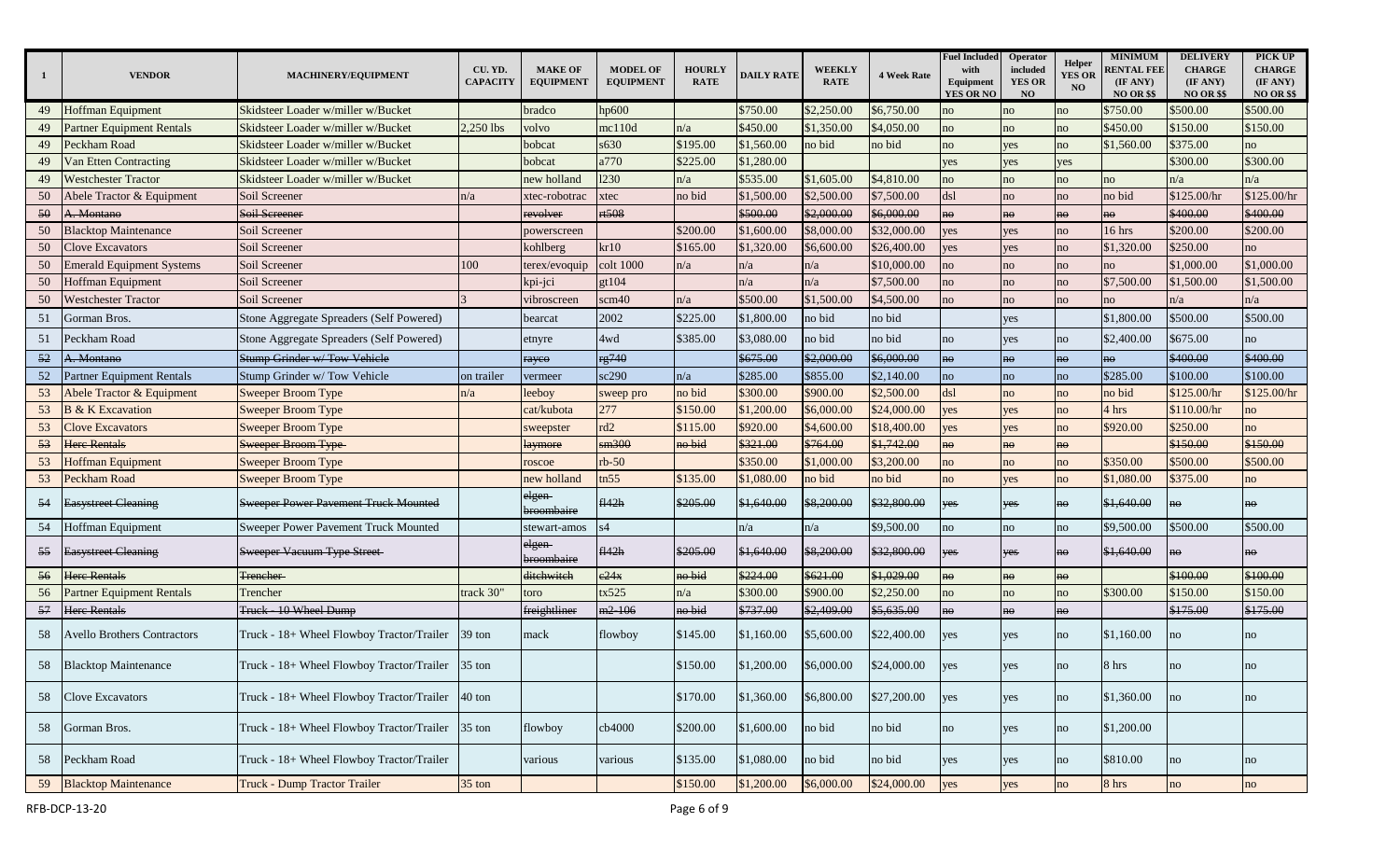| -1 | <b>VENDOR</b>                      | MACHINERY/EQUIPMENT                       | CU. YD.<br><b>CAPACITY</b> | <b>MAKE OF</b><br><b>EQUIPMENT</b> | <b>MODEL OF</b><br><b>EQUIPMENT</b> | <b>HOURLY</b><br><b>RATE</b> | <b>DAILY RATE</b> | <b>WEEKLY</b><br><b>RATE</b> | <b>4 Week Rate</b> | <b>Fuel Included</b><br>with<br>Equipment<br><b>YES OR NO</b> | Operator<br>included<br><b>YES OR</b><br>NO | <b>Helper</b><br><b>YES OR</b><br>NO | <b>MINIMUM</b><br><b>RENTAL FEE</b><br>(IF ANY)<br><b>NO OR \$\$</b> | <b>DELIVERY</b><br><b>CHARGE</b><br>(IF ANY)<br><b>NO OR \$\$</b> | PICK UP<br><b>CHARGE</b><br>(IF ANY)<br><b>NO OR \$\$</b> |
|----|------------------------------------|-------------------------------------------|----------------------------|------------------------------------|-------------------------------------|------------------------------|-------------------|------------------------------|--------------------|---------------------------------------------------------------|---------------------------------------------|--------------------------------------|----------------------------------------------------------------------|-------------------------------------------------------------------|-----------------------------------------------------------|
| 49 | Hoffman Equipment                  | Skidsteer Loader w/miller w/Bucket        |                            | bradco                             | hp600                               |                              | \$750.00          | \$2,250.00                   | \$6,750.00         | no                                                            | no                                          | no                                   | \$750.00                                                             | \$500.00                                                          | \$500.00                                                  |
| 49 | Partner Equipment Rentals          | Skidsteer Loader w/miller w/Bucket        | 2,250 lbs                  | volvo                              | mc110d                              | n/a                          | \$450.00          | \$1,350.00                   | \$4,050.00         | no                                                            | no                                          | no                                   | \$450.00                                                             | \$150.00                                                          | \$150.00                                                  |
| 49 | Peckham Road                       | Skidsteer Loader w/miller w/Bucket        |                            | bobcat                             | s630                                | \$195.00                     | \$1,560.00        | no bid                       | no bid             | no                                                            | yes                                         | no                                   | \$1,560.00                                                           | \$375.00                                                          | no                                                        |
| 49 | Van Etten Contracting              | Skidsteer Loader w/miller w/Bucket        |                            | bobcat                             | a770                                | \$225.00                     | \$1,280.00        |                              |                    | yes                                                           | yes                                         | yes                                  |                                                                      | \$300.00                                                          | \$300.00                                                  |
| 49 | <b>Westchester Tractor</b>         | Skidsteer Loader w/miller w/Bucket        |                            | new holland                        | 1230                                | n/a                          | \$535.00          | \$1,605.00                   | \$4,810.00         | no                                                            | no                                          | no                                   | no                                                                   | n/a                                                               | n/a                                                       |
| 50 | Abele Tractor & Equipment          | Soil Screener                             | n/a                        | xtec-robotrac                      | xtec                                | no bid                       | \$1,500.00        | \$2,500.00                   | \$7,500.00         | dsl                                                           | no                                          | no                                   | no bid                                                               | \$125.00/hr                                                       | \$125.00/hr                                               |
| 50 | A. Montano                         | Soil Screener                             |                            | revolver                           | rt508                               |                              | \$500.00          | \$2,000.00                   | \$6,000.00         | no                                                            | <b>no</b>                                   | $n\Theta$                            | no                                                                   | \$400.00                                                          | \$400.00                                                  |
| 50 | <b>Blacktop Maintenance</b>        | Soil Screener                             |                            | powerscreen                        |                                     | \$200.00                     | \$1,600.00        | \$8,000.00                   | \$32,000.00        | yes                                                           | yes                                         | no                                   | 16 hrs                                                               | \$200.00                                                          | \$200.00                                                  |
| 50 | <b>Clove Excavators</b>            | Soil Screener                             |                            | kohlberg                           | kr10                                | \$165.00                     | \$1,320.00        | \$6,600.00                   | \$26,400.00        | yes                                                           | yes                                         | no                                   | \$1,320.00                                                           | \$250.00                                                          | no                                                        |
| 50 | <b>Emerald Equipment Systems</b>   | Soil Screener                             | 100                        | terex/evoquip                      | colt 1000                           | n/a                          | n/a               | n/a                          | \$10,000.00        | no                                                            | no                                          | no                                   | no                                                                   | \$1,000.00                                                        | \$1,000.00                                                |
| 50 | Hoffman Equipment                  | Soil Screener                             |                            | kpi-jci                            | gt104                               |                              | n/a               | n/a                          | \$7,500.00         | no                                                            | no                                          | no                                   | \$7,500.00                                                           | \$1,500.00                                                        | \$1,500.00                                                |
| 50 | <b>Westchester Tractor</b>         | Soil Screener                             |                            | ibroscreen                         | scm40                               | n/a                          | \$500.00          | \$1,500.00                   | \$4,500.00         | no                                                            | no                                          | no                                   | no                                                                   | n/a                                                               | n/a                                                       |
| 51 | Gorman Bros.                       | Stone Aggregate Spreaders (Self Powered)  |                            | bearcat                            | 2002                                | \$225.00                     | \$1,800.00        | no bid                       | no bid             |                                                               | yes                                         |                                      | \$1,800.00                                                           | \$500.00                                                          | \$500.00                                                  |
| 51 | Peckham Road                       | Stone Aggregate Spreaders (Self Powered)  |                            | etnyre                             | 4wd                                 | \$385.00                     | \$3,080.00        | no bid                       | no bid             | no                                                            | yes                                         | no                                   | \$2,400.00                                                           | \$675.00                                                          | no                                                        |
| 52 | A. Montano                         | <b>Stump Grinder w/ Tow Vehicle</b>       |                            | rayeo                              | rg740                               |                              | \$675.00          | \$2,000.00                   | \$6,000.00         | no                                                            | no                                          | no                                   | no                                                                   | \$400.00                                                          | \$400.00                                                  |
| 52 | Partner Equipment Rentals          | Stump Grinder w/Tow Vehicle               | on trailer                 | vermeer                            | sc290                               | n/a                          | \$285.00          | \$855.00                     | \$2,140.00         | no                                                            | no                                          | no                                   | \$285.00                                                             | \$100.00                                                          | \$100.00                                                  |
| 53 | Abele Tractor & Equipment          | <b>Sweeper Broom Type</b>                 | n/a                        | leeboy                             | sweep pro                           | no bid                       | \$300.00          | \$900.00                     | \$2,500.00         | dsl                                                           | no                                          | no                                   | no bid                                                               | \$125.00/hr                                                       | \$125.00/hr                                               |
| 53 | <b>B &amp; K Excavation</b>        | <b>Sweeper Broom Type</b>                 |                            | cat/kubota                         | 277                                 | \$150.00                     | \$1,200.00        | \$6,000.00                   | \$24,000.00        | yes                                                           | yes                                         | no                                   | 4 hrs                                                                | \$110.00/hr                                                       | no                                                        |
| 53 | <b>Clove Excavators</b>            | <b>Sweeper Broom Type</b>                 |                            | sweepster                          | rd2                                 | \$115.00                     | \$920.00          | \$4,600.00                   | \$18,400.00        | yes                                                           | yes                                         | no                                   | \$920.00                                                             | \$250.00                                                          | no                                                        |
| 53 | Here Rentals                       | Sweeper Broom Type                        |                            | laymore                            | $\frac{\text{sm300}}{1}$            | no bid                       | \$321.00          | \$764.00                     | \$1,742.00         | no                                                            | no                                          | no                                   |                                                                      | \$150.00                                                          | \$150.00                                                  |
| 53 | <b>Hoffman Equipment</b>           | Sweeper Broom Type                        |                            | roscoe                             | $rb-50$                             |                              | \$350.00          | \$1,000.00                   | \$3,200.00         | no                                                            | no                                          | no                                   | \$350.00                                                             | \$500.00                                                          | \$500.00                                                  |
| 53 | Peckham Road                       | <b>Sweeper Broom Type</b>                 |                            | new holland                        | tn55                                | \$135.00                     | \$1,080.00        | no bid                       | no bid             | no                                                            | yes                                         | no                                   | \$1,080.00                                                           | \$375.00                                                          | no                                                        |
| 54 | Basystreet Cleaning                | Sweeper Power Pavement Truck Mounted      |                            | <del>elgen</del><br>broombaire     | fl42h                               | \$205.00                     | \$1,640.00        | \$8,200.00                   | \$32,800.00        | yes                                                           | yes                                         | ho                                   | \$1,640.00                                                           | $n\Theta$                                                         | ho                                                        |
| 54 | Hoffman Equipment                  | Sweeper Power Pavement Truck Mounted      |                            | stewart-amos                       |                                     |                              | n/a               | n/a                          | \$9,500.00         | no                                                            | no                                          | no                                   | \$9,500.00                                                           | \$500.00                                                          | \$500.00                                                  |
| 55 | Easystreet Cleaning                | Sweeper Vacuum Type Street                |                            | elgen<br>broombaire                | fl42h                               | \$205.00                     | \$1,640.00        | \$8,200.00                   | \$32,800.00        | yes                                                           | yes                                         | no                                   | \$1,640.00                                                           | no                                                                | no                                                        |
| 56 | Here Rentals                       | <b>Trencher</b>                           |                            | ditchwitch                         | $e^{24x}$                           | no bid                       | \$224.00          | \$621.00                     | \$1,029.00         | ho                                                            | no                                          | no                                   |                                                                      | \$100.00                                                          | \$100.00                                                  |
| 56 | Partner Equipment Rentals          | Trencher                                  | track 30"                  | toro                               | tx525                               | n/a                          | \$300.00          | \$900.00                     | \$2,250.00         | no                                                            | no                                          | no                                   | \$300.00                                                             | \$150.00                                                          | \$150.00                                                  |
| 57 | <b>Here Rentals</b>                | Truck 10 Wheel Dump                       |                            | freightliner                       | m <sub>2</sub> 106                  | no bid                       | \$737.00          | \$2,409.00                   | \$5,635.00         | no                                                            | $n\Theta$                                   | no                                   |                                                                      | \$175.00                                                          | \$175.00                                                  |
| 58 | <b>Avello Brothers Contractors</b> | Truck - 18+ Wheel Flowboy Tractor/Trailer | 39 ton                     | mack                               | flowboy                             | \$145.00                     | \$1,160.00        | \$5,600.00                   | \$22,400.00        | yes                                                           | yes                                         | no                                   | \$1,160.00                                                           | no                                                                | no                                                        |
| 58 | <b>Blacktop Maintenance</b>        | Truck - 18+ Wheel Flowboy Tractor/Trailer | $35 \text{ ton}$           |                                    |                                     | \$150.00                     | \$1,200.00        | \$6,000.00                   | \$24,000.00        | yes                                                           | yes                                         | no                                   | 8 hrs                                                                | no                                                                | no                                                        |
| 58 | <b>Clove Excavators</b>            | Truck - 18+ Wheel Flowboy Tractor/Trailer | 40 ton                     |                                    |                                     | \$170.00                     | \$1,360.00        | \$6,800.00                   | \$27,200.00        | yes                                                           | yes                                         | no                                   | \$1,360.00                                                           | no                                                                | no                                                        |
| 58 | Gorman Bros.                       | Truck - 18+ Wheel Flowboy Tractor/Trailer | 35 ton                     | flowboy                            | cb4000                              | \$200.00                     | \$1,600.00        | no bid                       | no bid             | no                                                            | yes                                         | no                                   | \$1,200.00                                                           |                                                                   |                                                           |
| 58 | Peckham Road                       | Truck - 18+ Wheel Flowboy Tractor/Trailer |                            | various                            | various                             | \$135.00                     | \$1,080.00        | no bid                       | no bid             | yes                                                           | yes                                         | no                                   | \$810.00                                                             | no                                                                | no                                                        |
| 59 | <b>Blacktop Maintenance</b>        | Truck - Dump Tractor Trailer              | $35 \text{ ton}$           |                                    |                                     | \$150.00                     | \$1,200.00        | \$6,000.00                   | \$24,000.00        | yes                                                           | yes                                         | no                                   | 8 hrs                                                                | no                                                                | no                                                        |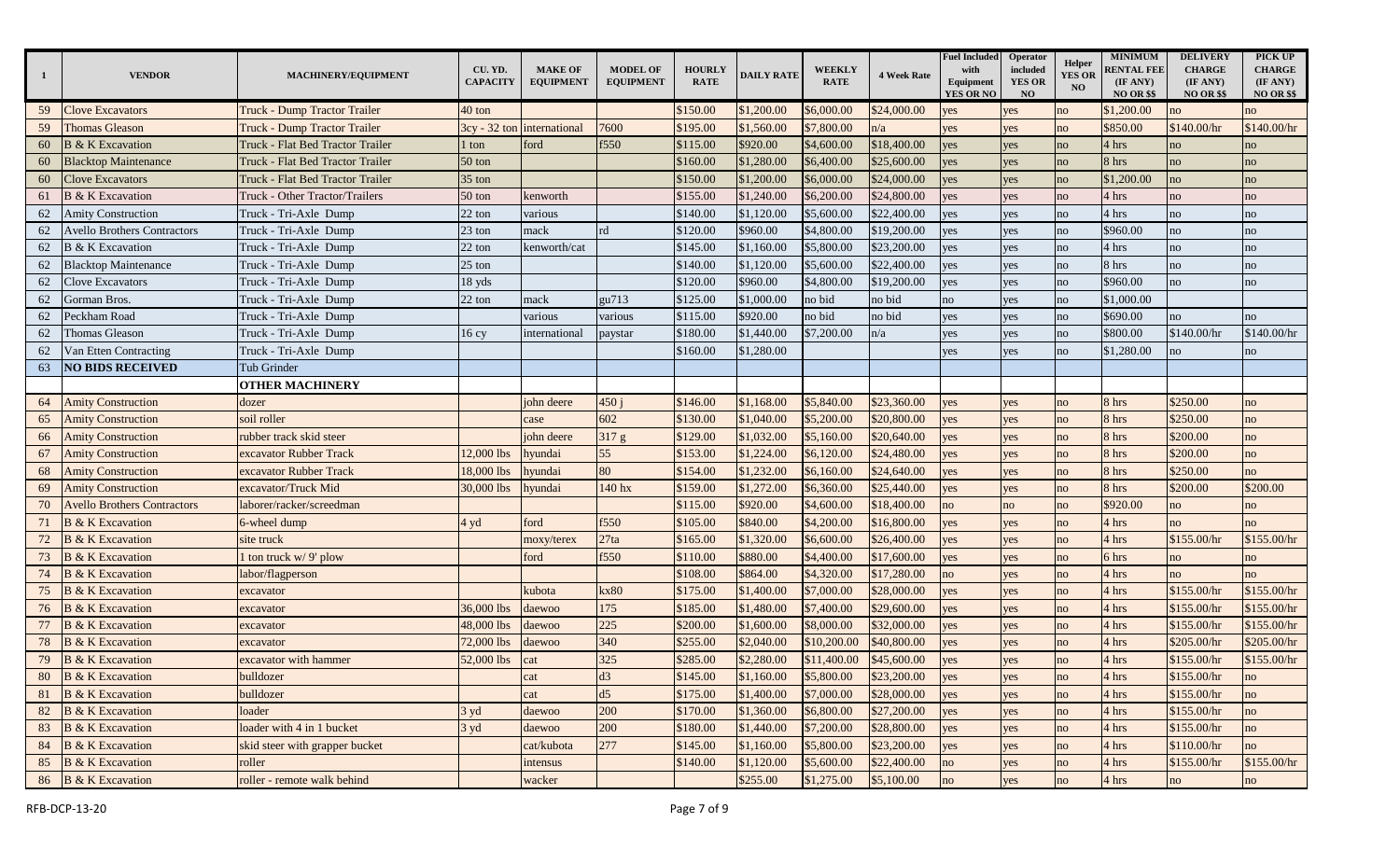| $\mathbf{1}$ | <b>VENDOR</b>                      | MACHINERY/EQUIPMENT                 | CU. YD.<br><b>CAPACITY</b> | <b>MAKE OF</b><br><b>EQUIPMENT</b> | <b>MODEL OF</b><br><b>EQUIPMENT</b> | <b>HOURLY</b><br><b>RATE</b> | <b>DAILY RATE</b> | <b>WEEKLY</b><br><b>RATE</b> | <b>4 Week Rate</b> | <b>Fuel Included</b><br>with<br>Equipment<br>YES OR NO | Operator<br>included<br><b>YES OR</b><br><b>NO</b> | Helper<br><b>YES OR</b><br>N <sub>O</sub> | <b>MINIMUM</b><br><b>RENTAL FEE</b><br>(IF ANY)<br><b>NO OR \$\$</b> | <b>DELIVERY</b><br><b>CHARGE</b><br>(IF ANY)<br><b>NO OR \$\$</b> | PICK UP<br><b>CHARGE</b><br>(IF ANY)<br><b>NO OR \$\$</b> |
|--------------|------------------------------------|-------------------------------------|----------------------------|------------------------------------|-------------------------------------|------------------------------|-------------------|------------------------------|--------------------|--------------------------------------------------------|----------------------------------------------------|-------------------------------------------|----------------------------------------------------------------------|-------------------------------------------------------------------|-----------------------------------------------------------|
| 59           | <b>Clove Excavators</b>            | Truck - Dump Tractor Trailer        | 40 ton                     |                                    |                                     | \$150.00                     | \$1,200.00        | \$6,000.00                   | \$24,000.00        | yes                                                    | yes                                                | no                                        | \$1,200.00                                                           | no                                                                | no                                                        |
| 59           | <b>Thomas Gleason</b>              | <b>Truck - Dump Tractor Trailer</b> |                            | 3cy - 32 ton international         | 7600                                | \$195.00                     | \$1,560.00        | \$7,800.00                   | n/a                | yes                                                    | yes                                                | no                                        | \$850.00                                                             | \$140.00/hr                                                       | \$140.00/hr                                               |
| 60           | <b>B</b> & K Excavation            | Truck - Flat Bed Tractor Trailer    | l ton                      | ford                               | f550                                | \$115.00                     | \$920.00          | \$4,600.00                   | \$18,400.00        | yes                                                    | yes                                                | no                                        | 4 hrs                                                                | no                                                                | no                                                        |
| 60           | <b>Blacktop Maintenance</b>        | Truck - Flat Bed Tractor Trailer    | 50 ton                     |                                    |                                     | \$160.00                     | \$1,280.00        | \$6,400.00                   | \$25,600.00        | yes                                                    | yes                                                | no                                        | 8 hrs                                                                | no                                                                | no                                                        |
| 60           | <b>Clove Excavators</b>            | Truck - Flat Bed Tractor Trailer    | 35 ton                     |                                    |                                     | \$150.00                     | \$1,200.00        | \$6,000.00                   | \$24,000.00        | yes                                                    | yes                                                | no                                        | \$1,200.00                                                           | no                                                                | no                                                        |
| 61           | <b>B</b> & K Excavation            | Truck - Other Tractor/Trailers      | 50 ton                     | kenworth                           |                                     | \$155.00                     | \$1,240.00        | \$6,200.00                   | \$24,800.00        | es                                                     | yes                                                | no                                        | 4 hrs                                                                | no                                                                | no                                                        |
| 62           | <b>Amity Construction</b>          | Truck - Tri-Axle Dump               | 22 ton                     | various                            |                                     | \$140.00                     | \$1,120.00        | \$5,600.00                   | \$22,400.00        | es                                                     | yes                                                | no                                        | 4 hrs                                                                | no                                                                | no                                                        |
| 62           | <b>Avello Brothers Contractors</b> | Truck - Tri-Axle Dump               | $23$ ton                   | mack                               | rd                                  | \$120.00                     | \$960.00          | \$4,800.00                   | \$19,200.00        | yes                                                    | yes                                                | no                                        | \$960.00                                                             | no                                                                | no                                                        |
| 62           | <b>B</b> & K Excavation            | Truck - Tri-Axle Dump               | $22 \text{ ton}$           | kenworth/cat                       |                                     | \$145.00                     | \$1,160.00        | \$5,800.00                   | \$23,200.00        | yes                                                    | yes                                                | no                                        | 4 hrs                                                                | no                                                                | no                                                        |
| 62           | <b>Blacktop Maintenance</b>        | Truck - Tri-Axle Dump               | 25 ton                     |                                    |                                     | \$140.00                     | \$1,120.00        | \$5,600.00                   | \$22,400.00        | yes                                                    | yes                                                | no                                        | 8 hrs                                                                | no                                                                | no                                                        |
| 62           | Clove Excavators                   | Truck - Tri-Axle Dump               | 18 yds                     |                                    |                                     | \$120.00                     | \$960.00          | \$4,800.00                   | \$19,200.00        | yes                                                    | yes                                                | no                                        | \$960.00                                                             | no                                                                | no                                                        |
| 62           | Gorman Bros.                       | Truck - Tri-Axle Dump               | 22 ton                     | mack                               | gu713                               | \$125.00                     | \$1,000.00        | no bid                       | no bid             | no                                                     | yes                                                | no                                        | \$1,000.00                                                           |                                                                   |                                                           |
| 62           | Peckham Road                       | Truck - Tri-Axle Dump               |                            | various                            | various                             | \$115.00                     | \$920.00          | no bid                       | no bid             | yes                                                    | yes                                                | no                                        | \$690.00                                                             | no                                                                | no                                                        |
| 62           | Thomas Gleason                     | Truck - Tri-Axle Dump               | 16cy                       | international                      | paystar                             | \$180.00                     | \$1,440.00        | \$7,200.00                   | n/a                | es/                                                    | yes                                                | no                                        | \$800.00                                                             | \$140.00/hr                                                       | \$140.00/hr                                               |
| 62           | Van Etten Contracting              | Truck - Tri-Axle Dump               |                            |                                    |                                     | \$160.00                     | \$1,280.00        |                              |                    | es                                                     | yes                                                | no                                        | \$1,280.00                                                           | no                                                                | no                                                        |
| 63           | <b>NO BIDS RECEIVED</b>            | <b>Tub Grinder</b>                  |                            |                                    |                                     |                              |                   |                              |                    |                                                        |                                                    |                                           |                                                                      |                                                                   |                                                           |
|              |                                    | <b>OTHER MACHINERY</b>              |                            |                                    |                                     |                              |                   |                              |                    |                                                        |                                                    |                                           |                                                                      |                                                                   |                                                           |
| 64           | <b>Amity Construction</b>          | dozer                               |                            | john deere                         | 450j                                | \$146.00                     | \$1,168.00        | \$5,840.00                   | \$23,360.00        | yes                                                    | yes                                                | no                                        | 8 hrs                                                                | \$250.00                                                          | no                                                        |
| 65           | <b>Amity Construction</b>          | soil roller                         |                            | case                               | 602                                 | \$130.00                     | \$1,040.00        | \$5,200.00                   | \$20,800.00        | yes                                                    | yes                                                | no                                        | 8 hrs                                                                | \$250.00                                                          | no                                                        |
| 66           | <b>Amity Construction</b>          | rubber track skid steer             |                            | john deere                         | 317 g                               | \$129.00                     | \$1,032.00        | \$5,160.00                   | \$20,640.00        | yes                                                    | yes                                                | no                                        | 8 hrs                                                                | \$200.00                                                          | no                                                        |
| 67           | <b>Amity Construction</b>          | excavator Rubber Track              | 12,000 lbs                 | hyundai                            | 55                                  | \$153.00                     | \$1,224.00        | \$6,120.00                   | \$24,480.00        | yes                                                    | yes                                                | no                                        | 8 hrs                                                                | \$200.00                                                          | no                                                        |
| 68           | <b>Amity Construction</b>          | excavator Rubber Track              | 18,000 lbs                 | hyundai                            | 80                                  | \$154.00                     | \$1,232.00        | \$6,160.00                   | \$24,640.00        | yes                                                    | yes                                                | no                                        | 8 hrs                                                                | \$250.00                                                          | no                                                        |
| 69           | <b>Amity Construction</b>          | excavator/Truck Mid                 | 30,000 lbs                 | ıyundai                            | 140 hx                              | \$159.00                     | \$1,272.00        | \$6,360.00                   | \$25,440.00        | es                                                     | yes                                                | no                                        | 8 hrs                                                                | \$200.00                                                          | \$200.00                                                  |
| 70           | <b>Avello Brothers Contractors</b> | laborer/racker/screedman            |                            |                                    |                                     | \$115.00                     | \$920.00          | \$4,600.00                   | \$18,400.00        | no                                                     | no                                                 | no                                        | \$920.00                                                             | no                                                                | no                                                        |
| 71           | <b>B</b> & K Excavation            | 6-wheel dump                        | 4 yd                       | ford                               | f550                                | \$105.00                     | \$840.00          | \$4,200.00                   | \$16,800.00        | yes                                                    | yes                                                | no                                        | 4 hrs                                                                | no                                                                | no                                                        |
| 72           | <b>B</b> & K Excavation            | site truck                          |                            | moxy/terex                         | 27ta                                | \$165.00                     | \$1,320.00        | \$6,600.00                   | \$26,400.00        | yes                                                    | yes                                                | no                                        | 4 hrs                                                                | \$155.00/hr                                                       | \$155.00/hr                                               |
| 73           | <b>B &amp; K Excavation</b>        | ton truck w/ 9' plow                |                            | ford                               | f550                                | \$110.00                     | \$880.00          | \$4,400.00                   | \$17,600.00        | yes                                                    | yes                                                | no                                        | 6 hrs                                                                | no                                                                | no                                                        |
| 74           | <b>B &amp; K Excavation</b>        | abor/flagperson                     |                            |                                    |                                     | \$108.00                     | \$864.00          | \$4,320.00                   | \$17,280.00        | no                                                     | yes                                                | no                                        | 4 hrs                                                                | no                                                                | no                                                        |
| 75           | <b>B &amp; K Excavation</b>        | excavator                           |                            | kubota                             | kx80                                | \$175.00                     | \$1,400.00        | \$7,000.00                   | \$28,000.00        | yes                                                    | yes                                                | no                                        | 4 hrs                                                                | \$155.00/hr                                                       | \$155.00/hr                                               |
| 76           | <b>B</b> & K Excavation            | excavator                           | 36,000 lbs                 | daewoo                             | 175                                 | \$185.00                     | \$1,480.00        | \$7,400.00                   | \$29,600.00        | yes                                                    | yes                                                | no                                        | 4 hrs                                                                | \$155.00/hr                                                       | \$155.00/hr                                               |
| 77           | <b>B</b> & K Excavation            | excavator                           | 48,000 lbs                 | daewoo                             | 225                                 | \$200.00                     | \$1,600.00        | \$8,000.00                   | \$32,000.00        | es                                                     | yes                                                | no                                        | 4 hrs                                                                | \$155.00/hr                                                       | \$155.00/hr                                               |
| 78           | <b>B &amp; K Excavation</b>        | excavator                           | 72,000 lbs                 | laewoo                             | 340                                 | \$255.00                     | \$2,040.00        | \$10,200.00                  | \$40,800.00        | es                                                     | yes                                                | no                                        | 4 hrs                                                                | \$205.00/hr                                                       | \$205.00/hr                                               |
| 79           | <b>B</b> & K Excavation            | excavator with hammer               | 52,000 lbs                 | cat                                | 325                                 | \$285.00                     | \$2,280.00        | \$11,400.00                  | \$45,600.00        | yes                                                    | yes                                                | no                                        | 4 hrs                                                                | \$155.00/hr                                                       | \$155.00/hr                                               |
| 80           | <b>B</b> & <b>K</b> Excavation     | bulldozer                           |                            | cat                                | d3                                  | \$145.00                     | \$1,160.00        | \$5,800.00                   | \$23,200.00        | yes                                                    | yes                                                | no                                        | 4 hrs                                                                | \$155.00/hr                                                       | no                                                        |
| 81           | <b>B</b> & <b>K</b> Excavation     | bulldozer                           |                            | cat                                | d5                                  | \$175.00                     | \$1,400.00        | \$7,000.00                   | \$28,000.00        | yes                                                    | yes                                                | no                                        | 4 hrs                                                                | \$155.00/hr                                                       | no                                                        |
| 82           | <b>B</b> & K Excavation            | loader                              | 3yd                        | daewoo                             | 200                                 | \$170.00                     | \$1,360.00        | \$6,800.00                   | \$27,200.00        | yes                                                    | yes                                                | no                                        | 4 hrs                                                                | \$155.00/hr                                                       | no                                                        |
| 83           | <b>B</b> & K Excavation            | loader with 4 in 1 bucket           | 3yd                        | daewoo                             | 200                                 | \$180.00                     | \$1,440.00        | \$7,200.00                   | \$28,800.00        | yes                                                    | yes                                                | no                                        | 4 hrs                                                                | \$155.00/hr                                                       | no                                                        |
|              | 84 B & K Excavation                | skid steer with grapper bucket      |                            | cat/kubota                         | 277                                 | \$145.00                     | \$1,160.00        | \$5,800.00                   | \$23,200.00        | yes                                                    | yes                                                | no                                        | 4 hrs                                                                | \$110.00/hr                                                       | no                                                        |
| 85           | <b>B</b> & K Excavation            | roller                              |                            | intensus                           |                                     | \$140.00                     | \$1,120.00        | \$5,600.00                   | \$22,400.00        | no                                                     | yes                                                | no                                        | 4 hrs                                                                | \$155.00/hr                                                       | \$155.00/hr                                               |
| 86           | <b>B</b> & K Excavation            | roller - remote walk behind         |                            | wacker                             |                                     |                              | \$255.00          | \$1,275.00                   | \$5,100.00         | no                                                     | yes                                                | no                                        | 4 hrs                                                                | no                                                                | no                                                        |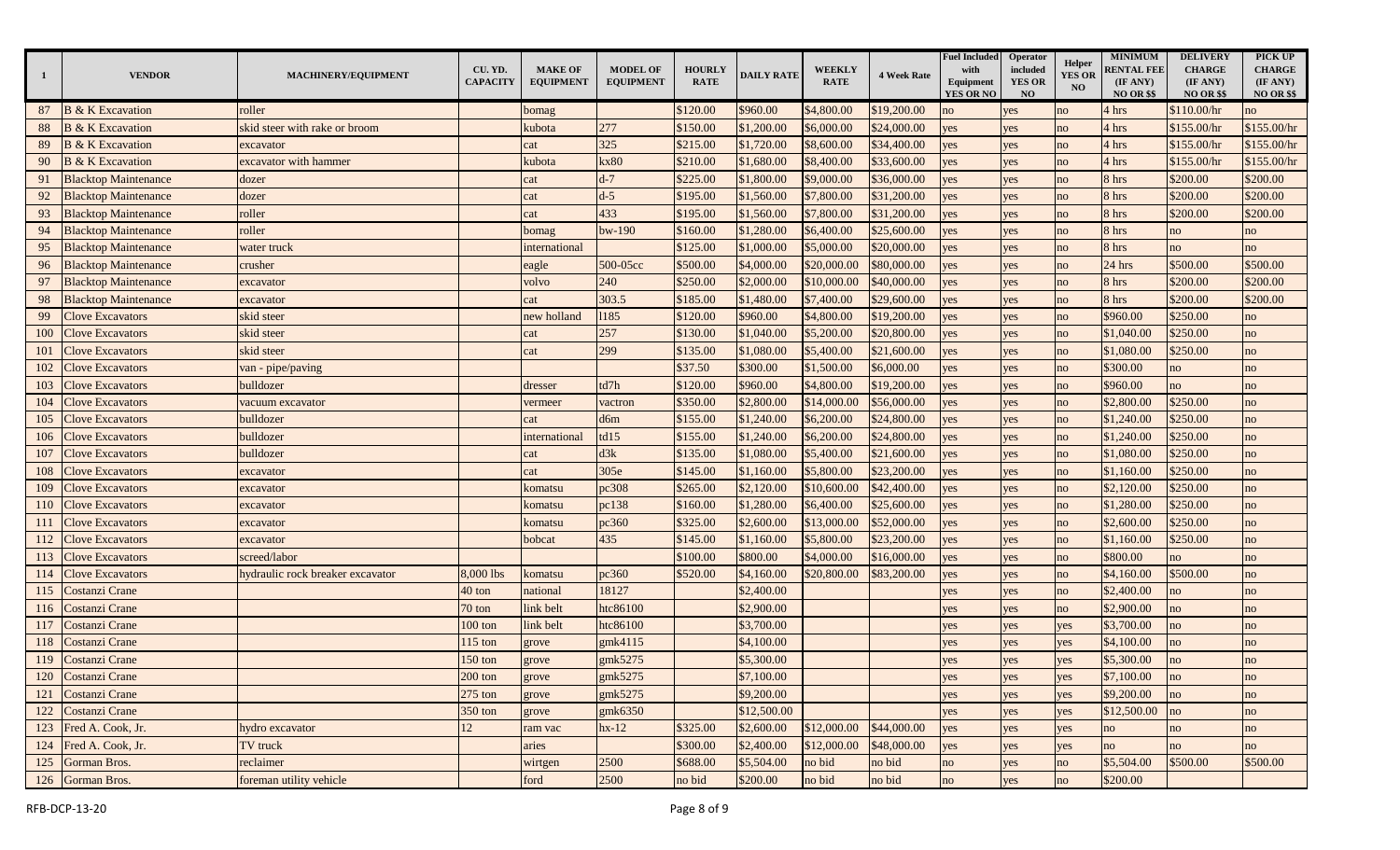| <sup>1</sup> | <b>VENDOR</b>               | MACHINERY/EQUIPMENT              | CU. YD.<br><b>CAPACITY</b> | <b>MAKE OF</b><br><b>EQUIPMENT</b> | <b>MODEL OF</b><br><b>EQUIPMENT</b> | <b>HOURLY</b><br><b>RATE</b> | <b>DAILY RATE</b> | <b>WEEKLY</b><br><b>RATE</b> | <b>4 Week Rate</b> | <b>Fuel Included</b><br>with<br>Equipment<br>YES OR NO | <b>Operator</b><br>included<br><b>YES OR</b><br><b>NO</b> | Helper<br><b>YES OR</b><br>N <sub>O</sub> | <b>MINIMUM</b><br><b>RENTAL FEE</b><br>(IF ANY)<br><b>NO OR \$\$</b> | <b>DELIVERY</b><br><b>CHARGE</b><br>(IF ANY)<br><b>NO OR \$\$</b> | PICK UP<br><b>CHARGE</b><br>(IF ANY)<br><b>NO OR \$\$</b> |
|--------------|-----------------------------|----------------------------------|----------------------------|------------------------------------|-------------------------------------|------------------------------|-------------------|------------------------------|--------------------|--------------------------------------------------------|-----------------------------------------------------------|-------------------------------------------|----------------------------------------------------------------------|-------------------------------------------------------------------|-----------------------------------------------------------|
| 87           | <b>B</b> & K Excavation     | roller                           |                            | bomag                              |                                     | \$120.00                     | \$960.00          | \$4,800.00                   | \$19,200.00        | no                                                     | yes                                                       | no                                        | 4 hrs                                                                | \$110.00/hr                                                       | no                                                        |
| 88           | <b>B</b> & K Excavation     | skid steer with rake or broom    |                            | kubota                             | 277                                 | \$150.00                     | \$1,200.00        | \$6,000.00                   | \$24,000.00        | yes                                                    | yes                                                       | no                                        | 4 hrs                                                                | \$155.00/hr                                                       | \$155.00/hr                                               |
| 89           | <b>B</b> & K Excavation     | excavator                        |                            | cat                                | 325                                 | \$215.00                     | \$1,720.00        | \$8,600.00                   | \$34,400.00        | yes                                                    | yes                                                       | no                                        | 4 hrs                                                                | \$155.00/hr                                                       | \$155.00/hr                                               |
| 90           | <b>B</b> & K Excavation     | excavator with hammer            |                            | kubota                             | kx80                                | \$210.00                     | \$1,680.00        | \$8,400.00                   | \$33,600.00        | yes                                                    | yes                                                       | no                                        | 4 hrs                                                                | \$155.00/hr                                                       | \$155.00/hr                                               |
| 91           | <b>Blacktop Maintenance</b> | dozer                            |                            | cat                                | $d-7$                               | \$225.00                     | \$1,800.00        | \$9,000.00                   | \$36,000.00        | yes                                                    | yes                                                       | no                                        | 8 hrs                                                                | \$200.00                                                          | \$200.00                                                  |
| 92           | <b>Blacktop Maintenance</b> | dozer                            |                            | cat                                | $d-5$                               | \$195.00                     | \$1,560.00        | \$7,800.00                   | \$31,200.00        | es                                                     | yes                                                       | no                                        | 8 hrs                                                                | \$200.00                                                          | \$200.00                                                  |
| 93           | <b>Blacktop Maintenance</b> | roller                           |                            | eat                                | 433                                 | \$195.00                     | \$1,560.00        | \$7,800.00                   | \$31,200.00        | es                                                     | yes                                                       | no                                        | 8 hrs                                                                | \$200.00                                                          | \$200.00                                                  |
| 94           | <b>Blacktop Maintenance</b> | roller                           |                            | pomag                              | bw-190                              | \$160.00                     | \$1,280.00        | \$6,400.00                   | \$25,600.00        | es                                                     | yes                                                       | no                                        | 8 hrs                                                                | no                                                                | no                                                        |
| 95           | <b>Blacktop Maintenance</b> | water truck                      |                            | international                      |                                     | \$125.00                     | \$1,000.00        | \$5,000.00                   | \$20,000.00        | yes                                                    | yes                                                       | no                                        | 8 hrs                                                                | no                                                                | no                                                        |
| 96           | <b>Blacktop Maintenance</b> | crusher                          |                            | eagle                              | 500-05cc                            | \$500.00                     | \$4,000.00        | \$20,000.00                  | \$80,000.00        | yes                                                    | yes                                                       | no                                        | 24 hrs                                                               | \$500.00                                                          | \$500.00                                                  |
| 97           | <b>Blacktop Maintenance</b> | excavator                        |                            | volvo                              | 240                                 | \$250.00                     | \$2,000.00        | \$10,000.00                  | \$40,000.00        | yes                                                    | yes                                                       | no                                        | 8 hrs                                                                | \$200.00                                                          | \$200.00                                                  |
| 98           | <b>Blacktop Maintenance</b> | excavator                        |                            | cat                                | 303.5                               | \$185.00                     | \$1,480.00        | \$7,400.00                   | \$29,600.00        | yes                                                    | yes                                                       | no                                        | 8 hrs                                                                | \$200.00                                                          | \$200.00                                                  |
| 99           | <b>Clove Excavators</b>     | skid steer                       |                            | new holland                        | 1185                                | \$120.00                     | \$960.00          | \$4,800.00                   | \$19,200.00        | yes                                                    | yes                                                       | no                                        | \$960.00                                                             | \$250.00                                                          | no                                                        |
| 100          | <b>Clove Excavators</b>     | skid steer                       |                            | cat                                | 257                                 | \$130.00                     | \$1,040.00        | \$5,200.00                   | \$20,800.00        | es                                                     | yes                                                       | no                                        | \$1,040.00                                                           | \$250.00                                                          | no                                                        |
| 101          | <b>Clove Excavators</b>     | skid steer                       |                            | cat                                | 299                                 | \$135.00                     | \$1,080.00        | \$5,400.00                   | \$21,600.00        | es                                                     | yes                                                       | no                                        | \$1,080.00                                                           | \$250.00                                                          | no                                                        |
| 102          | <b>Clove Excavators</b>     | van - pipe/paving                |                            |                                    |                                     | \$37.50                      | \$300.00          | \$1,500.00                   | \$6,000.00         | es                                                     | yes                                                       | no                                        | \$300.00                                                             | no                                                                | no                                                        |
| 103          | <b>Clove Excavators</b>     | bulldozer                        |                            | dresser                            | td7h                                | \$120.00                     | \$960.00          | \$4,800.00                   | \$19,200.00        | yes                                                    | yes                                                       | no                                        | \$960.00                                                             | no                                                                | no                                                        |
| 104          | <b>Clove Excavators</b>     | vacuum excavator                 |                            | vermeer                            | vactron                             | \$350.00                     | \$2,800.00        | \$14,000.00                  | \$56,000.00        | yes                                                    | yes                                                       | no                                        | \$2,800.00                                                           | \$250.00                                                          | no                                                        |
| 105          | <b>Clove Excavators</b>     | bulldozer                        |                            | cat                                | d6m                                 | \$155.00                     | \$1,240.00        | \$6,200.00                   | \$24,800.00        | yes                                                    | yes                                                       | no                                        | \$1,240.00                                                           | \$250.00                                                          | no                                                        |
| 106          | <b>Clove Excavators</b>     | bulldozer                        |                            | international                      | td15                                | \$155.00                     | \$1,240.00        | \$6,200.00                   | \$24,800.00        | yes                                                    | yes                                                       | no                                        | \$1,240.00                                                           | \$250.00                                                          | no                                                        |
| 107          | <b>Clove Excavators</b>     | bulldozer                        |                            | cat                                | d3k                                 | \$135.00                     | \$1,080.00        | \$5,400.00                   | \$21,600.00        | yes                                                    | yes                                                       | no                                        | \$1,080.00                                                           | \$250.00                                                          | no                                                        |
| 108          | <b>Clove Excavators</b>     | excavator                        |                            | cat                                | 305e                                | \$145.00                     | \$1,160.00        | \$5,800.00                   | \$23,200.00        | yes                                                    | yes                                                       | no                                        | \$1,160.00                                                           | \$250.00                                                          | no                                                        |
| 109          | <b>Clove Excavators</b>     | excavator                        |                            | komatsu                            | pc308                               | \$265.00                     | \$2,120.00        | \$10,600.00                  | \$42,400.00        | es                                                     | yes                                                       | no                                        | \$2,120.00                                                           | \$250.00                                                          | no                                                        |
| 110          | <b>Clove Excavators</b>     | excavator                        |                            | komatsu                            | pc138                               | \$160.00                     | \$1,280.00        | \$6,400.00                   | \$25,600.00        | es                                                     | yes                                                       | no                                        | \$1,280.00                                                           | \$250.00                                                          | no                                                        |
| 111          | <b>Clove Excavators</b>     | excavator                        |                            | komatsu                            | pc360                               | \$325.00                     | \$2,600.00        | \$13,000.00                  | \$52,000.00        | es                                                     | yes                                                       | no                                        | \$2,600.00                                                           | \$250.00                                                          | no                                                        |
| 112          | <b>Clove Excavators</b>     | excavator                        |                            | oobcat                             | 435                                 | \$145.00                     | \$1,160.00        | \$5,800.00                   | \$23,200.00        | yes                                                    | yes                                                       | no                                        | \$1,160.00                                                           | \$250.00                                                          | no                                                        |
| 113          | <b>Clove Excavators</b>     | screed/labor                     |                            |                                    |                                     | \$100.00                     | \$800.00          | \$4,000.00                   | \$16,000.00        | yes                                                    | yes                                                       | no                                        | \$800.00                                                             | no                                                                | no                                                        |
| 114          | <b>Clove Excavators</b>     | nydraulic rock breaker excavator | 8,000 lbs                  | komatsu                            | pc360                               | \$520.00                     | \$4,160.00        | \$20,800.00                  | \$83,200.00        | yes                                                    | yes                                                       | no                                        | \$4,160.00                                                           | \$500.00                                                          | no                                                        |
| 115          | Costanzi Crane              |                                  | 40 ton                     | national                           | 18127                               |                              | \$2,400.00        |                              |                    | yes                                                    | yes                                                       | no                                        | \$2,400.00                                                           | no                                                                | no                                                        |
| 116          | Costanzi Crane              |                                  | 70 ton                     | link belt                          | htc86100                            |                              | \$2,900.00        |                              |                    | yes                                                    | yes                                                       | no                                        | \$2,900.00                                                           | no                                                                | no                                                        |
| 117          | Costanzi Crane              |                                  | $100$ ton                  | link belt                          | htc86100                            |                              | \$3,700.00        |                              |                    | es                                                     | yes                                                       | yes                                       | \$3,700.00                                                           | no                                                                | no                                                        |
| 118          | Costanzi Crane              |                                  | $115$ ton                  | grove                              | gmk4115                             |                              | \$4,100.00        |                              |                    | es                                                     | yes                                                       | yes                                       | \$4,100.00                                                           | no                                                                | no                                                        |
| 119          | Costanzi Crane              |                                  | 150 ton                    | grove                              | gmk5275                             |                              | \$5,300.00        |                              |                    | es                                                     | yes                                                       | yes                                       | \$5,300.00                                                           | no                                                                | no                                                        |
|              | 120 Costanzi Crane          |                                  | $200$ ton                  | grove                              | gmk5275                             |                              | \$7,100.00        |                              |                    | yes                                                    | yes                                                       | yes                                       | \$7,100.00                                                           | no                                                                | no                                                        |
|              | 121 Costanzi Crane          |                                  | $275$ ton                  | grove                              | gmk5275                             |                              | \$9,200.00        |                              |                    | yes                                                    | yes                                                       | yes                                       | \$9,200.00                                                           | no                                                                | no                                                        |
|              | 122 Costanzi Crane          |                                  | 350 ton                    | grove                              | gmk6350                             |                              | \$12,500.00       |                              |                    | yes                                                    | yes                                                       | yes                                       | \$12,500.00                                                          | no                                                                | no                                                        |
|              | 123 Fred A. Cook, Jr.       | hydro excavator                  | 12                         | ram vac                            | $hx-12$                             | \$325.00                     | \$2,600.00        | \$12,000.00                  | \$44,000.00        | yes                                                    | yes                                                       | yes                                       | no                                                                   | no                                                                | no                                                        |
|              | 124 Fred A. Cook, Jr.       | TV truck                         |                            | aries                              |                                     | \$300.00                     | \$2,400.00        | \$12,000.00                  | \$48,000.00        | yes                                                    | yes                                                       | yes                                       | no                                                                   | no                                                                | no                                                        |
|              | 125 Gorman Bros.            | reclaimer                        |                            | wirtgen                            | 2500                                | \$688.00                     | \$5,504.00        | no bid                       | no bid             | no                                                     | yes                                                       | no                                        | \$5,504.00                                                           | \$500.00                                                          | \$500.00                                                  |
|              | 126 Gorman Bros.            | foreman utility vehicle          |                            | ford                               | 2500                                | no bid                       | \$200.00          | no bid                       | no bid             | no                                                     | yes                                                       | no                                        | \$200.00                                                             |                                                                   |                                                           |